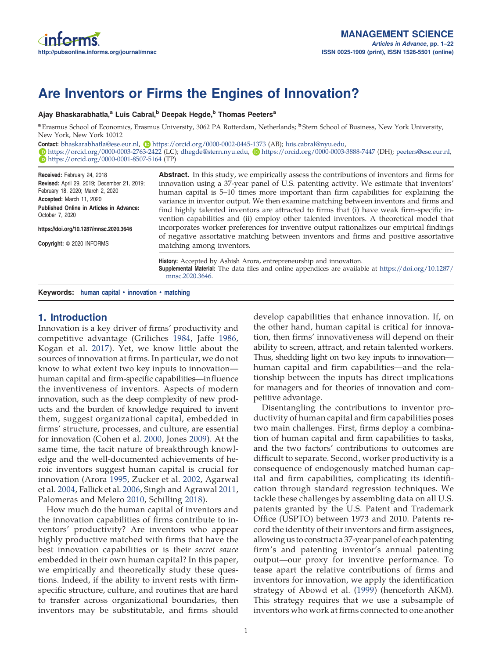# Are Inventors or Firms the Engines of Innovation?

# Ajay Bhaskarabhatla,<sup>a</sup> Luis Cabral,<sup>b</sup> Deepak Hegde,<sup>b</sup> Thomas Peeters<sup>a</sup>

<sup>a</sup> Erasmus School of Economics, Erasmus University, 3062 PA Rotterdam, Netherlands; <sup>b</sup> Stern School of Business, New York University, New York, New York 10012

Contact: bhaskarabhatla@ese.eur.nl, Dhttps://orcid.org/0000-0002-0445-1373 (AB); luis.cabral@nyu.edu,

https://orcid.org/0000-0003-2763-2422 (LC); dhegde@stern.nyu.edu, https://orcid.org/0000-0003-3888-7447 (DH); peeters@ese.eur.nl, https://orcid.org/0000-0001-8507-5164 (TP)

| Received: February 24, 2018<br>Revised: April 29, 2019; December 21, 2019;<br>February 18, 2020; March 2, 2020<br>Accepted: March 11, 2020 | Abstract. In this study, we empirically assess the contributions of inventors and firms for<br>innovation using a 37-year panel of U.S. patenting activity. We estimate that inventors'<br>human capital is 5-10 times more important than firm capabilities for explaining the<br>variance in inventor output. We then examine matching between inventors and firms and |
|--------------------------------------------------------------------------------------------------------------------------------------------|--------------------------------------------------------------------------------------------------------------------------------------------------------------------------------------------------------------------------------------------------------------------------------------------------------------------------------------------------------------------------|
| Published Online in Articles in Advance:<br>October 7, 2020                                                                                | find highly talented inventors are attracted to firms that (i) have weak firm-specific in-<br>vention capabilities and (ii) employ other talented inventors. A theoretical model that                                                                                                                                                                                    |
| https://doi.org/10.1287/mnsc.2020.3646                                                                                                     | incorporates worker preferences for inventive output rationalizes our empirical findings<br>of negative assortative matching between inventors and firms and positive assortative                                                                                                                                                                                        |
| Copyright: © 2020 INFORMS                                                                                                                  | matching among inventors.                                                                                                                                                                                                                                                                                                                                                |
|                                                                                                                                            | History: Accepted by Ashish Arora, entrepreneurship and innovation.<br>Supplemental Material: The data files and online appendices are available at https://doi.org/10.1287/<br>mnsc.2020.3646.                                                                                                                                                                          |

Keywords: human capital • innovation • matching

# 1. Introduction

Innovation is a key driver of firms' productivity and competitive advantage (Griliches 1984, Jaffe 1986, Kogan et al. 2017). Yet, we know little about the sources of innovation at firms. In particular, we do not know to what extent two key inputs to innovation human capital and firm-specific capabilities—influence the inventiveness of inventors. Aspects of modern innovation, such as the deep complexity of new products and the burden of knowledge required to invent them, suggest organizational capital, embedded in firms' structure, processes, and culture, are essential for innovation (Cohen et al. 2000, Jones 2009). At the same time, the tacit nature of breakthrough knowledge and the well-documented achievements of heroic inventors suggest human capital is crucial for innovation (Arora 1995, Zucker et al. 2002, Agarwal et al. 2004, Fallick et al. 2006, Singh and Agrawal 2011, Palomeras and Melero 2010, Schilling 2018).

How much do the human capital of inventors and the innovation capabilities of firms contribute to inventors' productivity? Are inventors who appear highly productive matched with firms that have the best innovation capabilities or is their *secret sauce* embedded in their own human capital? In this paper, we empirically and theoretically study these questions. Indeed, if the ability to invent rests with firmspecific structure, culture, and routines that are hard to transfer across organizational boundaries, then inventors may be substitutable, and firms should

develop capabilities that enhance innovation. If, on the other hand, human capital is critical for innovation, then firms' innovativeness will depend on their ability to screen, attract, and retain talented workers. Thus, shedding light on two key inputs to innovation human capital and firm capabilities—and the relationship between the inputs has direct implications for managers and for theories of innovation and competitive advantage.

Disentangling the contributions to inventor productivity of human capital and firm capabilities poses two main challenges. First, firms deploy a combination of human capital and firm capabilities to tasks, and the two factors' contributions to outcomes are difficult to separate. Second, worker productivity is a consequence of endogenously matched human capital and firm capabilities, complicating its identification through standard regression techniques. We tackle these challenges by assembling data on all U.S. patents granted by the U.S. Patent and Trademark Office (USPTO) between 1973 and 2010. Patents record the identity of their inventors and firm assignees, allowing us to construct a 37-year panel of each patenting firm's and patenting inventor's annual patenting output—our proxy for inventive performance. To tease apart the relative contributions of firms and inventors for innovation, we apply the identification strategy of Abowd et al. (1999) (henceforth AKM). This strategy requires that we use a subsample of inventors who work at firms connected to one another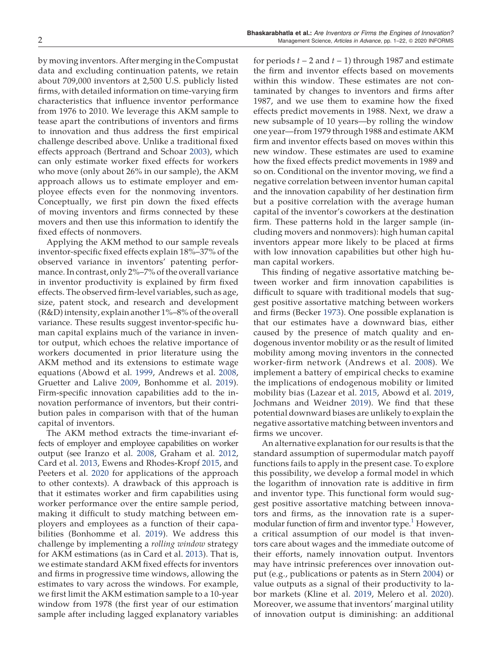by moving inventors. After merging in the Compustat data and excluding continuation patents, we retain about 709,000 inventors at 2,500 U.S. publicly listed firms, with detailed information on time-varying firm characteristics that influence inventor performance from 1976 to 2010. We leverage this AKM sample to tease apart the contributions of inventors and firms to innovation and thus address the first empirical challenge described above. Unlike a traditional fixed effects approach (Bertrand and Schoar 2003), which can only estimate worker fixed effects for workers who move (only about 26% in our sample), the AKM approach allows us to estimate employer and employee effects even for the nonmoving inventors. Conceptually, we first pin down the fixed effects of moving inventors and firms connected by these movers and then use this information to identify the fixed effects of nonmovers.

Applying the AKM method to our sample reveals inventor-specific fixed effects explain 18%–37% of the observed variance in inventors' patenting performance. In contrast, only 2%–7% of the overall variance in inventor productivity is explained by firm fixed effects. The observed firm-level variables, such as age, size, patent stock, and research and development (R&D) intensity, explain another 1%–8% of the overall variance. These results suggest inventor-specific human capital explains much of the variance in inventor output, which echoes the relative importance of workers documented in prior literature using the AKM method and its extensions to estimate wage equations (Abowd et al. 1999, Andrews et al. 2008, Gruetter and Lalive 2009, Bonhomme et al. 2019). Firm-specific innovation capabilities add to the innovation performance of inventors, but their contribution pales in comparison with that of the human capital of inventors.

The AKM method extracts the time-invariant effects of employer and employee capabilities on worker output (see Iranzo et al. 2008, Graham et al. 2012, Card et al. 2013, Ewens and Rhodes-Kropf 2015, and Peeters et al. 2020 for applications of the approach to other contexts). A drawback of this approach is that it estimates worker and firm capabilities using worker performance over the entire sample period, making it difficult to study matching between employers and employees as a function of their capabilities (Bonhomme et al. 2019). We address this challenge by implementing a *rolling window* strategy for AKM estimations (as in Card et al. 2013). That is, we estimate standard AKM fixed effects for inventors and firms in progressive time windows, allowing the estimates to vary across the windows. For example, we first limit the AKM estimation sample to a 10-year window from 1978 (the first year of our estimation sample after including lagged explanatory variables

for periods *t* − 2 and *t* − 1) through 1987 and estimate the firm and inventor effects based on movements within this window. These estimates are not contaminated by changes to inventors and firms after 1987, and we use them to examine how the fixed effects predict movements in 1988. Next, we draw a new subsample of 10 years—by rolling the window one year—from 1979 through 1988 and estimate AKM firm and inventor effects based on moves within this new window. These estimates are used to examine how the fixed effects predict movements in 1989 and so on. Conditional on the inventor moving, we find a negative correlation between inventor human capital and the innovation capability of her destination firm but a positive correlation with the average human capital of the inventor's coworkers at the destination firm. These patterns hold in the larger sample (including movers and nonmovers): high human capital inventors appear more likely to be placed at firms with low innovation capabilities but other high human capital workers.

This finding of negative assortative matching between worker and firm innovation capabilities is difficult to square with traditional models that suggest positive assortative matching between workers and firms (Becker 1973). One possible explanation is that our estimates have a downward bias, either caused by the presence of match quality and endogenous inventor mobility or as the result of limited mobility among moving inventors in the connected worker-firm network (Andrews et al. 2008). We implement a battery of empirical checks to examine the implications of endogenous mobility or limited mobility bias (Lazear et al. 2015, Abowd et al. 2019, Jochmans and Weidner 2019). We find that these potential downward biases are unlikely to explain the negative assortative matching between inventors and firms we uncover.

An alternative explanation for our results is that the standard assumption of supermodular match payoff functions fails to apply in the present case. To explore this possibility, we develop a formal model in which the logarithm of innovation rate is additive in firm and inventor type. This functional form would suggest positive assortative matching between innovators and firms, as the innovation rate is a supermodular function of firm and inventor type.<sup>1</sup> However, a critical assumption of our model is that inventors care about wages and the immediate outcome of their efforts, namely innovation output. Inventors may have intrinsic preferences over innovation output (e.g., publications or patents as in Stern 2004) or value outputs as a signal of their productivity to labor markets (Kline et al. 2019, Melero et al. 2020). Moreover, we assume that inventors' marginal utility of innovation output is diminishing: an additional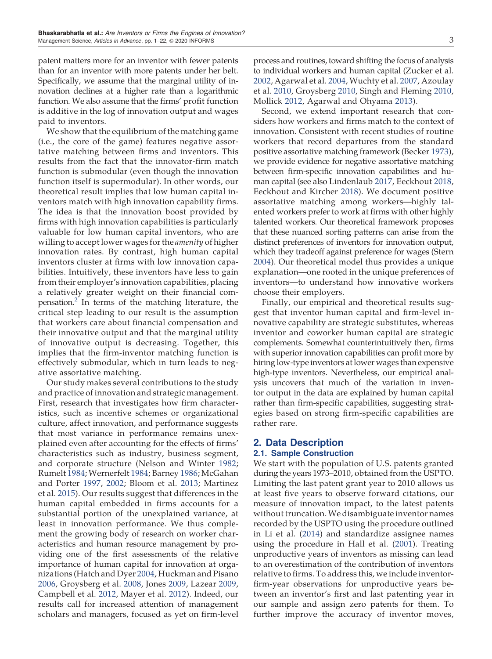patent matters more for an inventor with fewer patents than for an inventor with more patents under her belt. Specifically, we assume that the marginal utility of innovation declines at a higher rate than a logarithmic function. We also assume that the firms' profit function is additive in the log of innovation output and wages paid to inventors.

We show that the equilibrium of the matching game (i.e., the core of the game) features negative assortative matching between firms and inventors. This results from the fact that the innovator-firm match function is submodular (even though the innovation function itself is supermodular). In other words, our theoretical result implies that low human capital inventors match with high innovation capability firms. The idea is that the innovation boost provided by firms with high innovation capabilities is particularly valuable for low human capital inventors, who are willing to accept lower wages for the *amenity* of higher innovation rates. By contrast, high human capital inventors cluster at firms with low innovation capabilities. Intuitively, these inventors have less to gain from their employer's innovation capabilities, placing a relatively greater weight on their financial compensation.<sup>2</sup> In terms of the matching literature, the critical step leading to our result is the assumption that workers care about financial compensation and their innovative output and that the marginal utility of innovative output is decreasing. Together, this implies that the firm-inventor matching function is effectively submodular, which in turn leads to negative assortative matching.

Our study makes several contributions to the study and practice of innovation and strategic management. First, research that investigates how firm characteristics, such as incentive schemes or organizational culture, affect innovation, and performance suggests that most variance in performance remains unexplained even after accounting for the effects of firms' characteristics such as industry, business segment, and corporate structure (Nelson and Winter 1982; Rumelt 1984;Wernerfelt 1984; Barney 1986; McGahan and Porter 1997, 2002; Bloom et al. 2013; Martinez et al. 2015). Our results suggest that differences in the human capital embedded in firms accounts for a substantial portion of the unexplained variance, at least in innovation performance. We thus complement the growing body of research on worker characteristics and human resource management by providing one of the first assessments of the relative importance of human capital for innovation at organizations (Hatch and Dyer 2004, Huckman and Pisano 2006, Groysberg et al. 2008, Jones 2009, Lazear 2009, Campbell et al. 2012, Mayer et al. 2012). Indeed, our results call for increased attention of management scholars and managers, focused as yet on firm-level process and routines, toward shifting the focus of analysis to individual workers and human capital (Zucker et al. 2002, Agarwal et al. 2004, Wuchty et al. 2007, Azoulay et al. 2010, Groysberg 2010, Singh and Fleming 2010, Mollick 2012, Agarwal and Ohyama 2013).

Second, we extend important research that considers how workers and firms match to the context of innovation. Consistent with recent studies of routine workers that record departures from the standard positive assortative matching framework (Becker 1973), we provide evidence for negative assortative matching between firm-specific innovation capabilities and human capital (see also Lindenlaub 2017, Eeckhout 2018, Eeckhout and Kircher 2018). We document positive assortative matching among workers—highly talented workers prefer to work at firms with other highly talented workers. Our theoretical framework proposes that these nuanced sorting patterns can arise from the distinct preferences of inventors for innovation output, which they tradeoff against preference for wages (Stern 2004). Our theoretical model thus provides a unique explanation—one rooted in the unique preferences of inventors—to understand how innovative workers choose their employers.

Finally, our empirical and theoretical results suggest that inventor human capital and firm-level innovative capability are strategic substitutes, whereas inventor and coworker human capital are strategic complements. Somewhat counterintuitively then, firms with superior innovation capabilities can profit more by hiring low-type inventors at lower wages than expensive high-type inventors. Nevertheless, our empirical analysis uncovers that much of the variation in inventor output in the data are explained by human capital rather than firm-specific capabilities, suggesting strategies based on strong firm-specific capabilities are rather rare.

# 2. Data Description 2.1. Sample Construction

We start with the population of U.S. patents granted during the years 1973–2010, obtained from the USPTO. Limiting the last patent grant year to 2010 allows us at least five years to observe forward citations, our measure of innovation impact, to the latest patents without truncation.We disambiguate inventor names recorded by the USPTO using the procedure outlined in Li et al. (2014) and standardize assignee names using the procedure in Hall et al. (2001). Treating unproductive years of inventors as missing can lead to an overestimation of the contribution of inventors relative to firms. To address this, we include inventorfirm-year observations for unproductive years between an inventor's first and last patenting year in our sample and assign zero patents for them. To further improve the accuracy of inventor moves,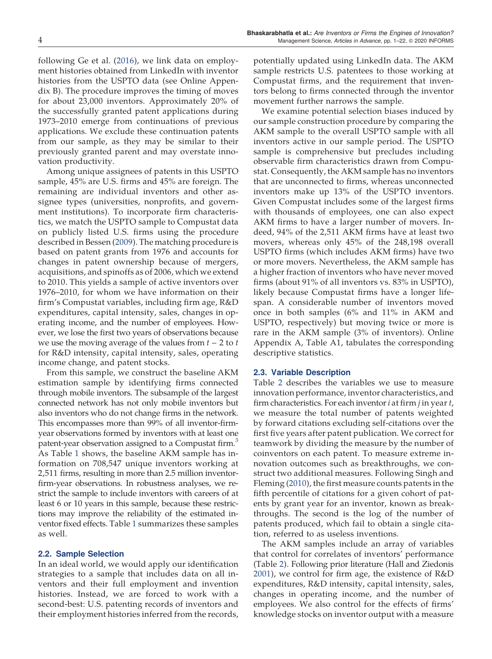following Ge et al. (2016), we link data on employment histories obtained from LinkedIn with inventor histories from the USPTO data (see Online Appendix B). The procedure improves the timing of moves for about 23,000 inventors. Approximately 20% of the successfully granted patent applications during 1973–2010 emerge from continuations of previous applications. We exclude these continuation patents from our sample, as they may be similar to their previously granted parent and may overstate innovation productivity.

Among unique assignees of patents in this USPTO sample, 45% are U.S. firms and 45% are foreign. The remaining are individual inventors and other assignee types (universities, nonprofits, and government institutions). To incorporate firm characteristics, we match the USPTO sample to Compustat data on publicly listed U.S. firms using the procedure described in Bessen (2009). The matching procedure is based on patent grants from 1976 and accounts for changes in patent ownership because of mergers, acquisitions, and spinoffs as of 2006, which we extend to 2010. This yields a sample of active inventors over 1976–2010, for whom we have information on their firm's Compustat variables, including firm age, R&D expenditures, capital intensity, sales, changes in operating income, and the number of employees. However, we lose the first two years of observations because we use the moving average of the values from *t* − 2 to *t* for R&D intensity, capital intensity, sales, operating income change, and patent stocks.

From this sample, we construct the baseline AKM estimation sample by identifying firms connected through mobile inventors. The subsample of the largest connected network has not only mobile inventors but also inventors who do not change firms in the network. This encompasses more than 99% of all inventor-firmyear observations formed by inventors with at least one patent-year observation assigned to a Compustat firm.<sup>3</sup> As Table 1 shows, the baseline AKM sample has information on 708,547 unique inventors working at 2,511 firms, resulting in more than 2.5 million inventorfirm-year observations. In robustness analyses, we restrict the sample to include inventors with careers of at least 6 or 10 years in this sample, because these restrictions may improve the reliability of the estimated inventor fixed effects. Table 1 summarizes these samples as well.

#### 2.2. Sample Selection

In an ideal world, we would apply our identification strategies to a sample that includes data on all inventors and their full employment and invention histories. Instead, we are forced to work with a second-best: U.S. patenting records of inventors and their employment histories inferred from the records, potentially updated using LinkedIn data. The AKM sample restricts U.S. patentees to those working at Compustat firms, and the requirement that inventors belong to firms connected through the inventor movement further narrows the sample.

We examine potential selection biases induced by our sample construction procedure by comparing the AKM sample to the overall USPTO sample with all inventors active in our sample period. The USPTO sample is comprehensive but precludes including observable firm characteristics drawn from Compustat. Consequently, the AKM sample has no inventors that are unconnected to firms, whereas unconnected inventors make up 13% of the USPTO inventors. Given Compustat includes some of the largest firms with thousands of employees, one can also expect AKM firms to have a larger number of movers. Indeed, 94% of the 2,511 AKM firms have at least two movers, whereas only 45% of the 248,198 overall USPTO firms (which includes AKM firms) have two or more movers. Nevertheless, the AKM sample has a higher fraction of inventors who have never moved firms (about 91% of all inventors vs. 83% in USPTO), likely because Compustat firms have a longer lifespan. A considerable number of inventors moved once in both samples (6% and 11% in AKM and USPTO, respectively) but moving twice or more is rare in the AKM sample (3% of inventors). Online Appendix A, Table A1, tabulates the corresponding descriptive statistics.

#### 2.3. Variable Description

Table 2 describes the variables we use to measure innovation performance, inventor characteristics, and firm characteristics. For each inventor*i* at firm *j* in year *t*, we measure the total number of patents weighted by forward citations excluding self-citations over the first five years after patent publication. We correct for teamwork by dividing the measure by the number of coinventors on each patent. To measure extreme innovation outcomes such as breakthroughs, we construct two additional measures. Following Singh and Fleming (2010), the first measure counts patents in the fifth percentile of citations for a given cohort of patents by grant year for an inventor, known as breakthroughs. The second is the log of the number of patents produced, which fail to obtain a single citation, referred to as useless inventions.

The AKM samples include an array of variables that control for correlates of inventors' performance (Table 2). Following prior literature (Hall and Ziedonis 2001), we control for firm age, the existence of R&D expenditures, R&D intensity, capital intensity, sales, changes in operating income, and the number of employees. We also control for the effects of firms' knowledge stocks on inventor output with a measure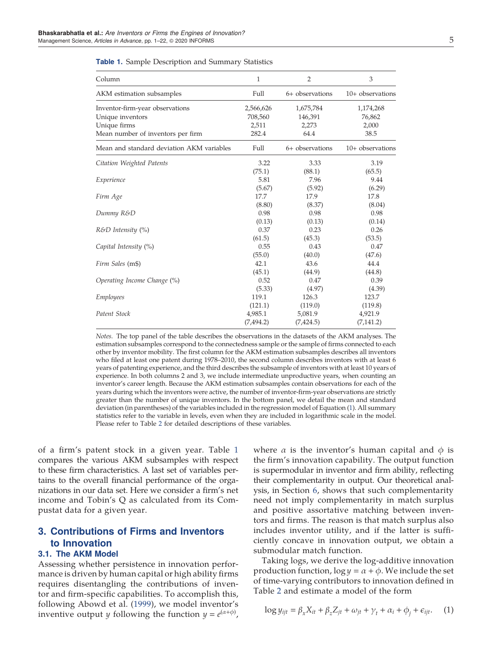| Column                                    | 1          | $\overline{2}$  | 3                  |
|-------------------------------------------|------------|-----------------|--------------------|
| AKM estimation subsamples                 | Full       | 6+ observations | $10+$ observations |
| Inventor-firm-year observations           | 2,566,626  | 1,675,784       | 1,174,268          |
| Unique inventors                          | 708,560    | 146,391         | 76,862             |
| Unique firms                              | 2,511      | 2,273           | 2,000              |
| Mean number of inventors per firm         | 282.4      | 64.4            | 38.5               |
| Mean and standard deviation AKM variables | Full       | 6+ observations | $10+$ observations |
| Citation Weighted Patents                 | 3.22       | 3.33            | 3.19               |
|                                           | (75.1)     | (88.1)          | (65.5)             |
| Experience                                | 5.81       | 7.96            | 9.44               |
|                                           | (5.67)     | (5.92)          | (6.29)             |
| Firm Age                                  | 17.7       | 17.9            | 17.8               |
|                                           | (8.80)     | (8.37)          | (8.04)             |
| Dummy R&D                                 | 0.98       | 0.98            | 0.98               |
|                                           | (0.13)     | (0.13)          | (0.14)             |
| $R\&D$ Intensity $(\%)$                   | 0.37       | 0.23            | 0.26               |
|                                           | (61.5)     | (45.3)          | (53.5)             |
| Capital Intensity (%)                     | 0.55       | 0.43            | 0.47               |
|                                           | (55.0)     | (40.0)          | (47.6)             |
| Firm Sales (m\$)                          | 42.1       | 43.6            | 44.4               |
|                                           | (45.1)     | (44.9)          | (44.8)             |
| Operating Income Change (%)               | 0.52       | 0.47            | 0.39               |
|                                           | (5.33)     | (4.97)          | (4.39)             |
| Employees                                 | 119.1      | 126.3           | 123.7              |
|                                           | (121.1)    | (119.0)         | (119.8)            |
| Patent Stock                              | 4,985.1    | 5,081.9         | 4,921.9            |
|                                           | (7, 494.2) | (7, 424.5)      | (7, 141.2)         |

Table 1. Sample Description and Summary Statistics

*Notes.* The top panel of the table describes the observations in the datasets of the AKM analyses. The estimation subsamples correspond to the connectedness sample or the sample of firms connected to each other by inventor mobility. The first column for the AKM estimation subsamples describes all inventors who filed at least one patent during 1978–2010, the second column describes inventors with at least 6 years of patenting experience, and the third describes the subsample of inventors with at least 10 years of experience. In both columns 2 and 3, we include intermediate unproductive years, when counting an inventor's career length. Because the AKM estimation subsamples contain observations for each of the years during which the inventors were active, the number of inventor-firm-year observations are strictly greater than the number of unique inventors. In the bottom panel, we detail the mean and standard deviation (in parentheses) of the variables included in the regression model of Equation (1). All summary statistics refer to the variable in levels, even when they are included in logarithmic scale in the model. Please refer to Table 2 for detailed descriptions of these variables.

of a firm's patent stock in a given year. Table 1 compares the various AKM subsamples with respect to these firm characteristics. A last set of variables pertains to the overall financial performance of the organizations in our data set. Here we consider a firm's net income and Tobin's Q as calculated from its Compustat data for a given year.

# 3. Contributions of Firms and Inventors to Innovation

# 3.1. The AKM Model

Assessing whether persistence in innovation performance is driven by human capital or high ability firms requires disentangling the contributions of inventor and firm-specific capabilities. To accomplish this, following Abowd et al. (1999), we model inventor's inventive output *y* following the function  $y = e^{(\alpha + \phi)}$ ,

where  $\alpha$  is the inventor's human capital and  $\phi$  is the firm's innovation capability. The output function is supermodular in inventor and firm ability, reflecting their complementarity in output. Our theoretical analysis, in Section 6, shows that such complementarity need not imply complementarity in match surplus and positive assortative matching between inventors and firms. The reason is that match surplus also includes inventor utility, and if the latter is sufficiently concave in innovation output, we obtain a submodular match function.

Taking logs, we derive the log-additive innovation production function,  $\log y = \alpha + \phi$ . We include the set of time-varying contributors to innovation defined in Table 2 and estimate a model of the form

$$
\log y_{ijt} = \beta_x X_{it} + \beta_z Z_{jt} + \omega_{jt} + \gamma_t + \alpha_i + \phi_j + \epsilon_{ijt}.
$$
 (1)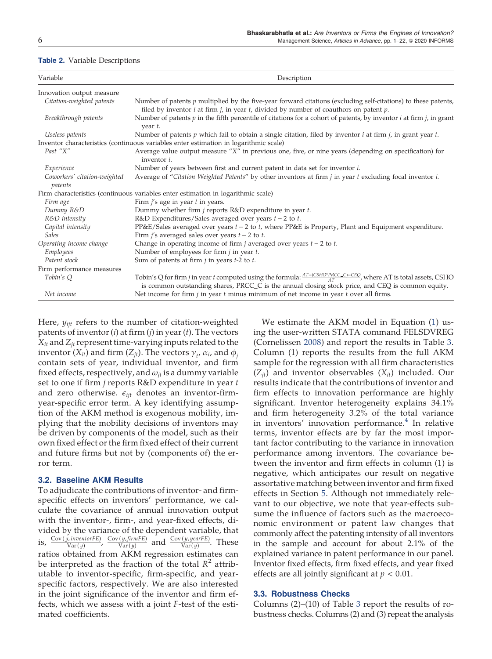### Table 2. Variable Descriptions

| Variable                                | Description                                                                                                                                                                                                                                     |
|-----------------------------------------|-------------------------------------------------------------------------------------------------------------------------------------------------------------------------------------------------------------------------------------------------|
| Innovation output measure               |                                                                                                                                                                                                                                                 |
| Citation-weighted patents               | Number of patents $p$ multiplied by the five-year forward citations (excluding self-citations) to these patents,<br>filed by inventor $i$ at firm $j$ , in year $t$ , divided by number of coauthors on patent $p$ .                            |
| Breakthrough patents                    | Number of patents $p$ in the fifth percentile of citations for a cohort of patents, by inventor $i$ at firm $j$ , in grant<br>year t.                                                                                                           |
| Useless patents                         | Number of patents $p$ which fail to obtain a single citation, filed by inventor $i$ at firm $j$ , in grant year $t$ .                                                                                                                           |
|                                         | Inventor characteristics (continuous variables enter estimation in logarithmic scale)                                                                                                                                                           |
| Past "X"                                | Average value output measure " $X$ " in previous one, five, or nine years (depending on specification) for<br>inventor i.                                                                                                                       |
| Experience                              | Number of years between first and current patent in data set for inventor <i>i</i> .                                                                                                                                                            |
| Coworkers' citation-weighted<br>patents | Average of "Citation Weighted Patents" by other inventors at firm j in year t excluding focal inventor i.                                                                                                                                       |
|                                         | Firm characteristics (continuous variables enter estimation in logarithmic scale)                                                                                                                                                               |
| Firm age                                | Firm $i$ 's age in year $t$ in years.                                                                                                                                                                                                           |
| Dummy R&D                               | Dummy whether firm <i>j</i> reports R&D expenditure in year <i>t</i> .                                                                                                                                                                          |
| $R&D$ intensity                         | R&D Expenditures/Sales averaged over years $t - 2$ to $t$ .                                                                                                                                                                                     |
| Capital intensity                       | PP&E/Sales averaged over years $t - 2$ to $t$ , where PP&E is Property, Plant and Equipment expenditure.                                                                                                                                        |
| <b>Sales</b>                            | Firm $i$ 's averaged sales over years $t - 2$ to $t$ .                                                                                                                                                                                          |
| Operating income change                 | Change in operating income of firm <i>j</i> averaged over years $t - 2$ to <i>t</i> .                                                                                                                                                           |
| <b>Employees</b>                        | Number of employees for firm $j$ in year $t$ .                                                                                                                                                                                                  |
| Patent stock                            | Sum of patents at firm $j$ in years $t-2$ to $t$ .                                                                                                                                                                                              |
| Firm performance measures               |                                                                                                                                                                                                                                                 |
| Tobin's Q                               | Tobin's Q for firm <i>j</i> in year <i>t</i> computed using the formula: $\frac{AT+(CSHO*PRC-C)-CEQ}{AT}$ , where AT is total assets, CSHO<br>is common outstanding shares, PRCC_C is the annual closing stock price, and CEQ is common equity. |
| Net income                              | Net income for firm $j$ in year $t$ minus minimum of net income in year $t$ over all firms.                                                                                                                                                     |

Here, *yijt* refers to the number of citation-weighted patents of inventor (*i*) at firm (*j*) in year (*t*). The vectors *Xit* and *Zjt* represent time-varying inputs related to the inventor  $(X_{it})$  and firm  $(Z_{jt})$ . The vectors  $\gamma_t$ ,  $\alpha_i$ , and  $\phi_j$ contain sets of year, individual inventor, and firm fixed effects, respectively, and  $\omega_{it}$  is a dummy variable set to one if firm *j* reports R&D expenditure in year *t* and zero otherwise.  $\epsilon_{ijt}$  denotes an inventor-firmyear-specific error term. A key identifying assumption of the AKM method is exogenous mobility, implying that the mobility decisions of inventors may be driven by components of the model, such as their own fixed effect or the firm fixed effect of their current and future firms but not by (components of) the error term.

# 3.2. Baseline AKM Results

To adjudicate the contributions of inventor- and firmspecific effects on inventors' performance, we calculate the covariance of annual innovation output with the inventor-, firm-, and year-fixed effects, divided by the variance of the dependent variable, that is,  $\frac{\text{Cov}(y, \text{inventorFE})}{\text{Var}(y)}$ ,  $\frac{\text{Cov}(y, \text{firmFE})}{\text{Var}(y)}$  $\frac{(y, \textit{firmFE})}{\text{Var}(y)}$  and  $\frac{\text{Cov}(y, \textit{yearFE})}{\text{Var}(y)}$ . These ratios obtained from AKM regression estimates can be interpreted as the fraction of the total  $R^2$  attributable to inventor-specific, firm-specific, and yearspecific factors, respectively. We are also interested in the joint significance of the inventor and firm effects, which we assess with a joint *F*-test of the estimated coefficients.

We estimate the AKM model in Equation (1) using the user-written STATA command FELSDVREG (Cornelissen 2008) and report the results in Table 3. Column (1) reports the results from the full AKM sample for the regression with all firm characteristics (*Zjt*) and inventor observables (*Xit*) included. Our results indicate that the contributions of inventor and firm effects to innovation performance are highly significant. Inventor heterogeneity explains 34.1% and firm heterogeneity 3.2% of the total variance in inventors' innovation performance.<sup>4</sup> In relative terms, inventor effects are by far the most important factor contributing to the variance in innovation performance among inventors. The covariance between the inventor and firm effects in column (1) is negative, which anticipates our result on negative assortative matching between inventor and firm fixed effects in Section 5. Although not immediately relevant to our objective, we note that year-effects subsume the influence of factors such as the macroeconomic environment or patent law changes that commonly affect the patenting intensity of all inventors in the sample and account for about 2.1% of the explained variance in patent performance in our panel. Inventor fixed effects, firm fixed effects, and year fixed effects are all jointly significant at *p* < 0.01.

### 3.3. Robustness Checks

Columns (2)–(10) of Table 3 report the results of robustness checks. Columns (2) and (3) repeat the analysis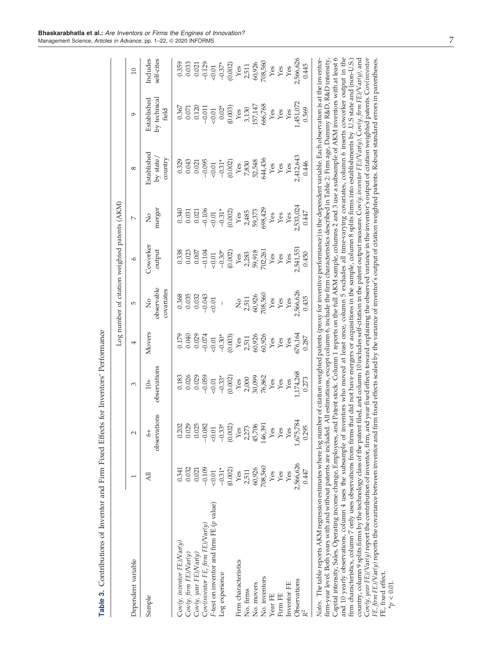|                                                                                                                                                                                                                                                                                                                                                                                                                                                                                                                                                                                                                                                                                                                                                                                                                                                                                                                                                                                                                                                                                                                                                                                                                                                                                                                                                                                                                   |                |              |                               |                        | Log number of citation weighted patents (AKM) |                        |                               |                                                                                                                                                                                                                                                          |                                      |                                  |
|-------------------------------------------------------------------------------------------------------------------------------------------------------------------------------------------------------------------------------------------------------------------------------------------------------------------------------------------------------------------------------------------------------------------------------------------------------------------------------------------------------------------------------------------------------------------------------------------------------------------------------------------------------------------------------------------------------------------------------------------------------------------------------------------------------------------------------------------------------------------------------------------------------------------------------------------------------------------------------------------------------------------------------------------------------------------------------------------------------------------------------------------------------------------------------------------------------------------------------------------------------------------------------------------------------------------------------------------------------------------------------------------------------------------|----------------|--------------|-------------------------------|------------------------|-----------------------------------------------|------------------------|-------------------------------|----------------------------------------------------------------------------------------------------------------------------------------------------------------------------------------------------------------------------------------------------------|--------------------------------------|----------------------------------|
| Dependent variable                                                                                                                                                                                                                                                                                                                                                                                                                                                                                                                                                                                                                                                                                                                                                                                                                                                                                                                                                                                                                                                                                                                                                                                                                                                                                                                                                                                                |                | $\sim$       | S                             | 4                      | 5                                             | $\circ$                | $\sim$                        | $^{\circ}$                                                                                                                                                                                                                                               | Ó                                    | $\overline{10}$                  |
| Sample                                                                                                                                                                                                                                                                                                                                                                                                                                                                                                                                                                                                                                                                                                                                                                                                                                                                                                                                                                                                                                                                                                                                                                                                                                                                                                                                                                                                            | ₹              | observations | observations<br>$\frac{1}{2}$ | Movers                 | observable<br>covariates<br>ż                 | Coworker<br>output     | merger<br>ż                   | Established<br>by state,<br>country                                                                                                                                                                                                                      | by technical<br>Established<br>field | self-cites<br>Includes           |
| Cov(y, inventor FE)/Var(y)                                                                                                                                                                                                                                                                                                                                                                                                                                                                                                                                                                                                                                                                                                                                                                                                                                                                                                                                                                                                                                                                                                                                                                                                                                                                                                                                                                                        | 0.341          | .202         | 0.183                         | 0.179                  | 0.368                                         | 0.338                  |                               | 0.329                                                                                                                                                                                                                                                    | 0.367                                | 0.359                            |
| Cov(y, year FE)/Var(y)<br>$\text{Cov}(y, \textit{firm FE})\text{Var}(y)$                                                                                                                                                                                                                                                                                                                                                                                                                                                                                                                                                                                                                                                                                                                                                                                                                                                                                                                                                                                                                                                                                                                                                                                                                                                                                                                                          | 0.032<br>0.021 | 029<br>.025  | 0.029<br>0.026                | 0.040<br>0.029         | 0.035<br>0.032                                | 0.023<br>0.007         | $0.340$<br>$0.031$<br>$0.021$ | 0.043<br>0.021                                                                                                                                                                                                                                           | 0.120<br>0.071                       | $0.033$<br>$0.021$               |
| $\text{Cov}(inventor \text{ FE}, \text{firm FE})/\text{Var}(y)$                                                                                                                                                                                                                                                                                                                                                                                                                                                                                                                                                                                                                                                                                                                                                                                                                                                                                                                                                                                                                                                                                                                                                                                                                                                                                                                                                   | $-0.109$       | .082         | $-0.059$                      | $-0.074$               | $-0.043$                                      | $-0.104$               | $-0.106$                      | $-0.095$                                                                                                                                                                                                                                                 | $-0.011$                             |                                  |
| F-test on inventor and firm FE $(p \text{ value})$                                                                                                                                                                                                                                                                                                                                                                                                                                                                                                                                                                                                                                                                                                                                                                                                                                                                                                                                                                                                                                                                                                                                                                                                                                                                                                                                                                | 0.01           | $<0.01$      | $<\!\!0.01$                   | $<0.01$                | $<0.01$                                       | 0.01                   |                               | 0.01                                                                                                                                                                                                                                                     |                                      |                                  |
| Log experience                                                                                                                                                                                                                                                                                                                                                                                                                                                                                                                                                                                                                                                                                                                                                                                                                                                                                                                                                                                                                                                                                                                                                                                                                                                                                                                                                                                                    | $-0.31*$       | $-0.33*$     | $-0.33*$                      | $-0.30*$               | $\overline{\phantom{a}}$                      | $-0.30*$               | $-0.01$<br>$-0.31*$           | $-0.31*$                                                                                                                                                                                                                                                 | $\frac{1}{0.02}$                     | $-0.129$<br>$-0.01$<br>$-0.37$ * |
|                                                                                                                                                                                                                                                                                                                                                                                                                                                                                                                                                                                                                                                                                                                                                                                                                                                                                                                                                                                                                                                                                                                                                                                                                                                                                                                                                                                                                   | (0.002)        | (0.002)      | (0.002)                       | (0.003)                |                                               | (0.002)                | (0.002)                       | (0.002)                                                                                                                                                                                                                                                  | (0.003)                              | (0.002)                          |
| Firm characteristics                                                                                                                                                                                                                                                                                                                                                                                                                                                                                                                                                                                                                                                                                                                                                                                                                                                                                                                                                                                                                                                                                                                                                                                                                                                                                                                                                                                              | Yes            | es<br>$\geq$ | $\mathbf{\Upsilon}$ es        |                        | $\frac{1}{2}$                                 | $\mathbf{\Upsilon}$ es | $\mathbf{\Upsilon}$ es        | $\mathbf{\Upsilon}$ es                                                                                                                                                                                                                                   | $\mathbf{\Upsilon}$ es               | $\mathbf{Y}\mathbf{es}$          |
| No. firms                                                                                                                                                                                                                                                                                                                                                                                                                                                                                                                                                                                                                                                                                                                                                                                                                                                                                                                                                                                                                                                                                                                                                                                                                                                                                                                                                                                                         | 2,511          | 2,273        | 2,000                         | $Y$ es<br>2,511        | 2,511                                         | 2,283                  | 2,485<br>59,373               | 7,830<br>52,548                                                                                                                                                                                                                                          | 3,130                                | 2,511                            |
| No. movers                                                                                                                                                                                                                                                                                                                                                                                                                                                                                                                                                                                                                                                                                                                                                                                                                                                                                                                                                                                                                                                                                                                                                                                                                                                                                                                                                                                                        | 60,926         | 45,706       | 30,099                        | 60,926                 | 60,926                                        | 59,918                 |                               |                                                                                                                                                                                                                                                          | 157,147                              | 60,926                           |
| No. inventors                                                                                                                                                                                                                                                                                                                                                                                                                                                                                                                                                                                                                                                                                                                                                                                                                                                                                                                                                                                                                                                                                                                                                                                                                                                                                                                                                                                                     | 708,560        | 146,391      | 76,862                        | 60,926                 | 708,560                                       | 702,261                | 698,429                       | 644,436                                                                                                                                                                                                                                                  | 666,768                              | 708,560                          |
| Year FE                                                                                                                                                                                                                                                                                                                                                                                                                                                                                                                                                                                                                                                                                                                                                                                                                                                                                                                                                                                                                                                                                                                                                                                                                                                                                                                                                                                                           | Yes            | &            | $\mathbf{Yes}$                | $\mathbf{\Upsilon}$ es | $\mathbf{\Upsilon}$ es                        | $\mathbf{\Upsilon}$ es | $\mathbf{\Upsilon}$ es        | $\mathbf{\Upsilon}\mathbf{es}$                                                                                                                                                                                                                           | $\mathbf{\Upsilon}$ es               | $\operatorname{\mathsf{Yes}}$    |
| Firm FE                                                                                                                                                                                                                                                                                                                                                                                                                                                                                                                                                                                                                                                                                                                                                                                                                                                                                                                                                                                                                                                                                                                                                                                                                                                                                                                                                                                                           | Yes            | 8            | $\mathbf{Yes}$                | $\mathbf{\Upsilon}$ es | $\mathbf{\Upsilon}$ es                        | Yes                    | Yes                           | $\mathbf{\Upsilon}$ es                                                                                                                                                                                                                                   | $\mathbf{\Upsilon}$ es               | $\mathbf{\Upsilon}$ es           |
| Inventor FE                                                                                                                                                                                                                                                                                                                                                                                                                                                                                                                                                                                                                                                                                                                                                                                                                                                                                                                                                                                                                                                                                                                                                                                                                                                                                                                                                                                                       | Yes            | GS           | $\mathbf{\Upsilon}$ es        | $\mathbf{\Upsilon}$ es | $\operatorname{\mathsf{Yes}}$                 | $\mathbf{\Upsilon}$ es | $\mathbf{\Upsilon}$ es        | $\mathbf{\Upsilon}$ es                                                                                                                                                                                                                                   | ${\rm Yes}$                          | $\mathbf{\Upsilon}$ es           |
| Observations                                                                                                                                                                                                                                                                                                                                                                                                                                                                                                                                                                                                                                                                                                                                                                                                                                                                                                                                                                                                                                                                                                                                                                                                                                                                                                                                                                                                      | 2,566,626      | 1,675,784    | ,174,268                      | 676,164                | 2,566,626                                     | 2,541,551              | 2,533,024                     | 2,412,643                                                                                                                                                                                                                                                | 451,072                              | 2,566,626                        |
| $\mathbb{R}^2$                                                                                                                                                                                                                                                                                                                                                                                                                                                                                                                                                                                                                                                                                                                                                                                                                                                                                                                                                                                                                                                                                                                                                                                                                                                                                                                                                                                                    | 0.447          | 0.295        | 0.273                         | 0.287                  | 0.435                                         | 0.450                  | 0.447                         | 0.446                                                                                                                                                                                                                                                    | 0.569                                | 0.445                            |
| $\text{Cov}(y,year/Var(y)$ report the contribution of inventor, firm, and year fixed effects toward explaining the observed variance in the inventor's output of citation weighted patents. Cov(inventor<br>Notes. The table reports AKM regression estimates where log number of citation weighted patents (proxy for inventive performance) is the dependent variable. Each observation is at the inventor-<br>country, column 9 splits firms by the technology class of the patent filed, and column 10 includes self-citation in the patent output measure. Cov(y, <i>inventor FE)/Var(y), Cov(y, firm FE)/Var(y)</i> , and<br>firm-year level. Both years with and without patents are included. All estimations, except column 6, include the firm characteristics described in Table 2: Firm age, Dummy R&D, R&D intensity,<br>firm characteristics, column 7 only uses observations from firms that did not have mergers or acquisitions in the sample, column 8 splits firms into establishments by .U.S state and (non-U.S.)<br>FE, firm FE)/Var(y) reports the covariance between inventor and firm fixed effects scaled by the variance of inventor's output of citation weighted patents. Robust standard errors in parentheses.<br>Capital intensity, Sales, Operating income change, Employees,<br>and 10 yearly observations, column 4 uses the subsample of<br>FE, fixed effect.<br>$p < 0.01$ . |                |              |                               |                        |                                               |                        |                               | inventors who moved at least once, column 5 excludes all time-varying covariates, column 6 inserts coworker output in the<br>and Patent stock. Column 1 reports on the full AKM sample, columns 2 and 3 use a subsample of AKM inventors with at least 6 |                                      |                                  |

Table 3. Contributions of Inventor and Firm Fixed Effects for Inventors' Performance Table 3. Contributions of Inventor and Firm Fixed Effects for Inventors' Performance

Bhaskarabhatla et al.: Are Inventors or Firms the Engines of Innovation? Management Science, Articles in Advance, pp. 1-22, © 2020 INFORMS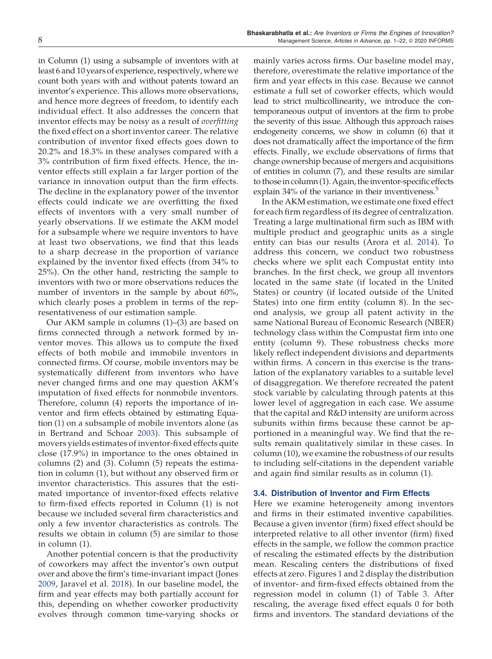in Column (1) using a subsample of inventors with at least 6 and 10 years of experience, respectively, where we count both years with and without patents toward an inventor's experience. This allows more observations, and hence more degrees of freedom, to identify each individual effect. It also addresses the concern that inventor effects may be noisy as a result of *over*fi*tting* the fixed effect on a short inventor career. The relative contribution of inventor fixed effects goes down to 20.2% and 18.3% in these analyses compared with a 3% contribution of firm fixed effects. Hence, the inventor effects still explain a far larger portion of the variance in innovation output than the firm effects. The decline in the explanatory power of the inventor effects could indicate we are overfitting the fixed effects of inventors with a very small number of yearly observations. If we estimate the AKM model for a subsample where we require inventors to have at least two observations, we find that this leads to a sharp decrease in the proportion of variance explained by the inventor fixed effects (from 34% to 25%). On the other hand, restricting the sample to inventors with two or more observations reduces the number of inventors in the sample by about 60%, which clearly poses a problem in terms of the representativeness of our estimation sample.

Our AKM sample in columns (1)–(3) are based on firms connected through a network formed by inventor moves. This allows us to compute the fixed effects of both mobile and immobile inventors in connected firms. Of course, mobile inventors may be systematically different from inventors who have never changed firms and one may question AKM's imputation of fixed effects for nonmobile inventors. Therefore, column (4) reports the importance of inventor and firm effects obtained by estimating Equation (1) on a subsample of mobile inventors alone (as in Bertrand and Schoar 2003). This subsample of movers yields estimates of inventor-fixed effects quite close (17.9%) in importance to the ones obtained in columns (2) and (3). Column (5) repeats the estimation in column (1), but without any observed firm or inventor characteristics. This assures that the estimated importance of inventor-fixed effects relative to firm-fixed effects reported in Column (1) is not because we included several firm characteristics and only a few inventor characteristics as controls. The results we obtain in column (5) are similar to those in column (1).

Another potential concern is that the productivity of coworkers may affect the inventor's own output over and above the firm's time-invariant impact (Jones 2009, Jaravel et al. 2018). In our baseline model, the firm and year effects may both partially account for this, depending on whether coworker productivity evolves through common time-varying shocks or mainly varies across firms. Our baseline model may, therefore, overestimate the relative importance of the firm and year effects in this case. Because we cannot estimate a full set of coworker effects, which would lead to strict multicollinearity, we introduce the contemporaneous output of inventors at the firm to probe the severity of this issue. Although this approach raises endogeneity concerns, we show in column (6) that it does not dramatically affect the importance of the firm effects. Finally, we exclude observations of firms that change ownership because of mergers and acquisitions of entities in column (7), and these results are similar to those in column (1). Again, the inventor-specific effects explain 34% of the variance in their inventiveness.<sup>5</sup>

In the AKM estimation, we estimate one fixed effect for each firm regardless of its degree of centralization. Treating a large multinational firm such as IBM with multiple product and geographic units as a single entity can bias our results (Arora et al. 2014). To address this concern, we conduct two robustness checks where we split each Compustat entity into branches. In the first check, we group all inventors located in the same state (if located in the United States) or country (if located outside of the United States) into one firm entity (column 8). In the second analysis, we group all patent activity in the same National Bureau of Economic Research (NBER) technology class within the Compustat firm into one entity (column 9). These robustness checks more likely reflect independent divisions and departments within firms. A concern in this exercise is the translation of the explanatory variables to a suitable level of disaggregation. We therefore recreated the patent stock variable by calculating through patents at this lower level of aggregation in each case. We assume that the capital and R&D intensity are uniform across subunits within firms because these cannot be apportioned in a meaningful way. We find that the results remain qualitatively similar in these cases. In column (10), we examine the robustness of our results to including self-citations in the dependent variable and again find similar results as in column (1).

# 3.4. Distribution of Inventor and Firm Effects

Here we examine heterogeneity among inventors and firms in their estimated inventive capabilities. Because a given inventor (firm) fixed effect should be interpreted relative to all other inventor (firm) fixed effects in the sample, we follow the common practice of rescaling the estimated effects by the distribution mean. Rescaling centers the distributions of fixed effects at zero. Figures 1 and 2 display the distribution of inventor- and firm-fixed effects obtained from the regression model in column (1) of Table 3. After rescaling, the average fixed effect equals 0 for both firms and inventors. The standard deviations of the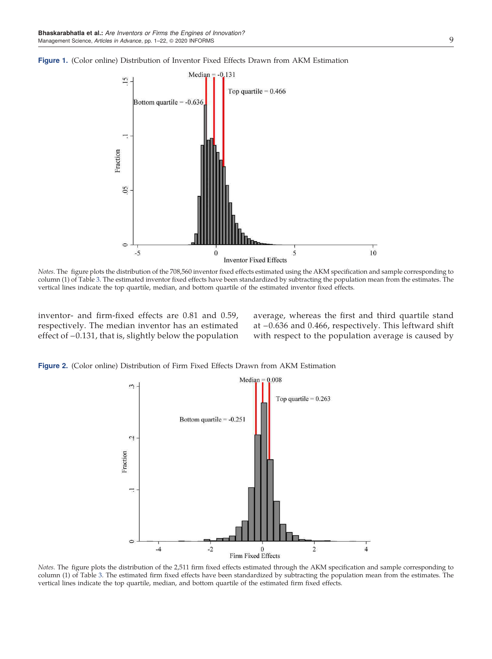



*Notes.* The figure plots the distribution of the 708,560 inventor fixed effects estimated using the AKM specification and sample corresponding to column (1) of Table 3. The estimated inventor fixed effects have been standardized by subtracting the population mean from the estimates. The vertical lines indicate the top quartile, median, and bottom quartile of the estimated inventor fixed effects.

inventor- and firm-fixed effects are 0.81 and 0.59, respectively. The median inventor has an estimated effect of −0.131, that is, slightly below the population average, whereas the first and third quartile stand at −0.636 and 0.466, respectively. This leftward shift with respect to the population average is caused by





*Notes.* The figure plots the distribution of the 2,511 firm fixed effects estimated through the AKM specification and sample corresponding to column (1) of Table 3. The estimated firm fixed effects have been standardized by subtracting the population mean from the estimates. The vertical lines indicate the top quartile, median, and bottom quartile of the estimated firm fixed effects.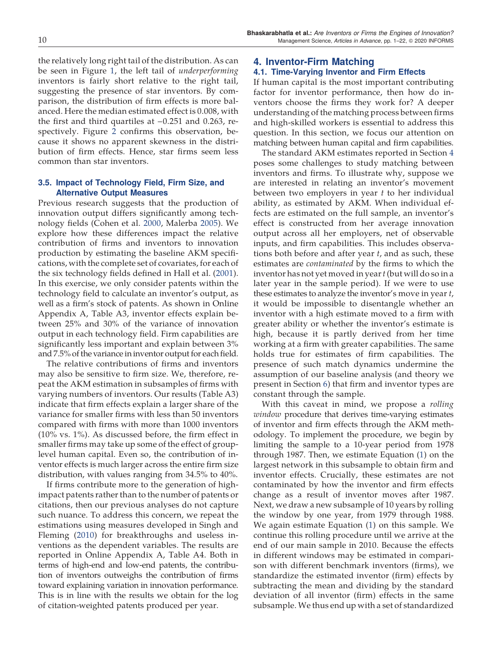3.5. Impact of Technology Field, Firm Size, and Alternative Output Measures Previous research suggests that the production of

innovation output differs significantly among technology fields (Cohen et al. 2000, Malerba 2005). We explore how these differences impact the relative contribution of firms and inventors to innovation production by estimating the baseline AKM specifications, with the complete set of covariates, for each of the six technology fields defined in Hall et al. (2001). In this exercise, we only consider patents within the technology field to calculate an inventor's output, as well as a firm's stock of patents. As shown in Online Appendix A, Table A3, inventor effects explain between 25% and 30% of the variance of innovation output in each technology field. Firm capabilities are significantly less important and explain between 3% and 7.5% of the variance in inventor output for each field.

spectively. Figure 2 confirms this observation, because it shows no apparent skewness in the distribution of firm effects. Hence, star firms seem less

common than star inventors.

The relative contributions of firms and inventors may also be sensitive to firm size. We, therefore, repeat the AKM estimation in subsamples of firms with varying numbers of inventors. Our results (Table A3) indicate that firm effects explain a larger share of the variance for smaller firms with less than 50 inventors compared with firms with more than 1000 inventors (10% vs. 1%). As discussed before, the firm effect in smaller firms may take up some of the effect of grouplevel human capital. Even so, the contribution of inventor effects is much larger across the entire firm size distribution, with values ranging from 34.5% to 40%.

If firms contribute more to the generation of highimpact patents rather than to the number of patents or citations, then our previous analyses do not capture such nuance. To address this concern, we repeat the estimations using measures developed in Singh and Fleming (2010) for breakthroughs and useless inventions as the dependent variables. The results are reported in Online Appendix A, Table A4. Both in terms of high-end and low-end patents, the contribution of inventors outweighs the contribution of firms toward explaining variation in innovation performance. This is in line with the results we obtain for the log of citation-weighted patents produced per year.

# 4. Inventor-Firm Matching

# 4.1. Time-Varying Inventor and Firm Effects

If human capital is the most important contributing factor for inventor performance, then how do inventors choose the firms they work for? A deeper understanding of the matching process between firms and high-skilled workers is essential to address this question. In this section, we focus our attention on matching between human capital and firm capabilities.

The standard AKM estimates reported in Section 4 poses some challenges to study matching between inventors and firms. To illustrate why, suppose we are interested in relating an inventor's movement between two employers in year *t* to her individual ability, as estimated by AKM. When individual effects are estimated on the full sample, an inventor's effect is constructed from her average innovation output across all her employers, net of observable inputs, and firm capabilities. This includes observations both before and after year *t*, and as such, these estimates are *contaminated* by the firms to which the inventor has not yet moved in year*t*(but will do so in a later year in the sample period). If we were to use these estimates to analyze the inventor's move in year *t*, it would be impossible to disentangle whether an inventor with a high estimate moved to a firm with greater ability or whether the inventor's estimate is high, because it is partly derived from her time working at a firm with greater capabilities. The same holds true for estimates of firm capabilities. The presence of such match dynamics undermine the assumption of our baseline analysis (and theory we present in Section 6) that firm and inventor types are constant through the sample.

With this caveat in mind, we propose a *rolling window* procedure that derives time-varying estimates of inventor and firm effects through the AKM methodology. To implement the procedure, we begin by limiting the sample to a 10-year period from 1978 through 1987. Then, we estimate Equation (1) on the largest network in this subsample to obtain firm and inventor effects. Crucially, these estimates are not contaminated by how the inventor and firm effects change as a result of inventor moves after 1987. Next, we draw a new subsample of 10 years by rolling the window by one year, from 1979 through 1988. We again estimate Equation (1) on this sample. We continue this rolling procedure until we arrive at the end of our main sample in 2010. Because the effects in different windows may be estimated in comparison with different benchmark inventors (firms), we standardize the estimated inventor (firm) effects by subtracting the mean and dividing by the standard deviation of all inventor (firm) effects in the same subsample. We thus end up with a set of standardized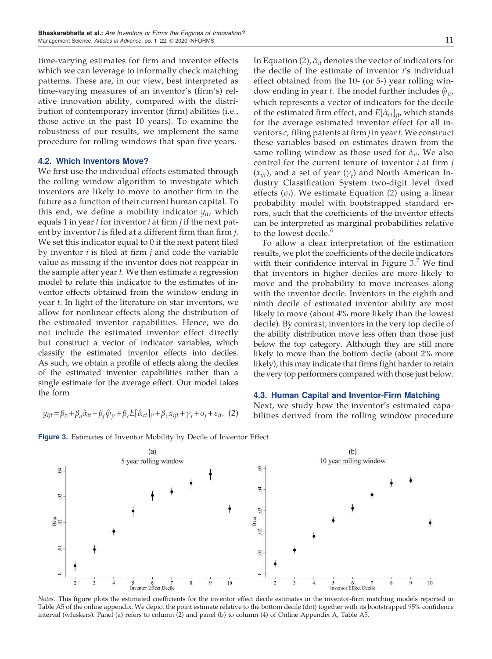time-varying estimates for firm and inventor effects which we can leverage to informally check matching patterns. These are, in our view, best interpreted as time-varying measures of an inventor's (firm's) relative innovation ability, compared with the distribution of contemporary inventor (firm) abilities (i.e., those active in the past 10 years). To examine the robustness of our results, we implement the same procedure for rolling windows that span five years.

# 4.2. Which Inventors Move?

We first use the individual effects estimated through the rolling window algorithm to investigate which inventors are likely to move to another firm in the future as a function of their current human capital. To this end, we define a mobility indicator  $y_{it}$ , which equals 1 in year *t* for inventor *i* at firm *j* if the next patent by inventor *i* is filed at a different firm than firm *j*. We set this indicator equal to 0 if the next patent filed by inventor *i* is filed at firm *j* and code the variable value as missing if the inventor does not reappear in the sample after year *t*. We then estimate a regression model to relate this indicator to the estimates of inventor effects obtained from the window ending in year *t*. In light of the literature on star inventors, we allow for nonlinear effects along the distribution of the estimated inventor capabilities. Hence, we do not include the estimated inventor effect directly but construct a vector of indicator variables, which classify the estimated inventor effects into deciles. As such, we obtain a profile of effects along the deciles of the estimated inventor capabilities rather than a single estimate for the average effect. Our model takes the form

$$
y_{ijt} = \beta_0 + \beta_a \hat{\alpha}_{it} + \beta_f \hat{\varphi}_{jt} + \beta_c E[\hat{\alpha}_{ct}]_{jt} + \beta_x x_{ijt} + \gamma_t + \sigma_j + \varepsilon_{it}.
$$
 (2)

In Equation (2),  $\hat{\alpha}_{it}$  denotes the vector of indicators for the decile of the estimate of inventor *i*'s individual effect obtained from the 10- (or 5-) year rolling window ending in year *t*. The model further includes  $\hat{\varphi}_{jt}$ , which represents a vector of indicators for the decile of the estimated firm effect, and  $E[\hat{\alpha}_{ct}]_{it}$ , which stands for the average estimated inventor effect for all inventors *c*, filing patents at firm *j* in year*t*.We construct these variables based on estimates drawn from the same rolling window as those used for  $\hat{\alpha}_{it}$ . We also control for the current tenure of inventor *i* at firm *j*  $(x_{ijt})$ , and a set of year  $(\gamma_t)$  and North American Industry Classification System two-digit level fixed effects  $(\sigma_i)$ . We estimate Equation (2) using a linear probability model with bootstrapped standard errors, such that the coefficients of the inventor effects can be interpreted as marginal probabilities relative to the lowest decile.<sup>6</sup>

To allow a clear interpretation of the estimation results, we plot the coefficients of the decile indicators with their confidence interval in Figure  $3.7$  We find that inventors in higher deciles are more likely to move and the probability to move increases along with the inventor decile. Inventors in the eighth and ninth decile of estimated inventor ability are most likely to move (about 4% more likely than the lowest decile). By contrast, inventors in the very top decile of the ability distribution move less often than those just below the top category. Although they are still more likely to move than the bottom decile (about 2% more likely), this may indicate that firms fight harder to retain the very top performers compared with those just below.

#### 4.3. Human Capital and Inventor-Firm Matching

Next, we study how the inventor's estimated capabilities derived from the rolling window procedure



Figure 3. Estimates of Inventor Mobility by Decile of Inventor Effect

*Notes*. This figure plots the estimated coefficients for the inventor effect decile estimates in the inventor-firm matching models reported in Table A5 of the online appendix. We depict the point estimate relative to the bottom decile (dot) together with its bootstrapped 95% confidence interval (whiskers). Panel (a) refers to column (2) and panel (b) to column (4) of Online Appendix A, Table A5.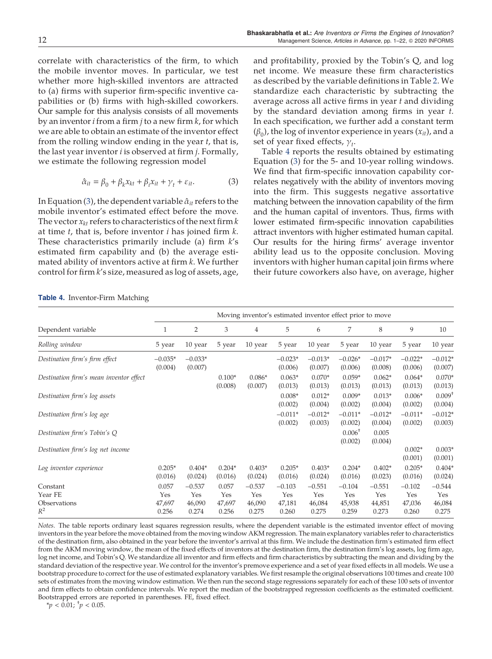correlate with characteristics of the firm, to which the mobile inventor moves. In particular, we test whether more high-skilled inventors are attracted to (a) firms with superior firm-specific inventive capabilities or (b) firms with high-skilled coworkers. Our sample for this analysis consists of all movements by an inventor *i* from a firm *j* to a new firm *k*, for which we are able to obtain an estimate of the inventor effect from the rolling window ending in the year *t*, that is, the last year inventor *i* is observed at firm *j*. Formally, we estimate the following regression model

$$
\hat{\alpha}_{it} = \beta_0 + \beta_k x_{kt} + \beta_i x_{it} + \gamma_t + \varepsilon_{it}.
$$
 (3)

In Equation (3), the dependent variable  $\hat{\alpha}_{it}$  refers to the mobile inventor's estimated effect before the move. The vector  $x_{kt}$  refers to characteristics of the next firm  $k$ at time *t*, that is, before inventor *i* has joined firm *k*. These characteristics primarily include (a) firm *k*'s estimated firm capability and (b) the average estimated ability of inventors active at firm *k*. We further control for firm *k*'s size, measured as log of assets, age,

and profitability, proxied by the Tobin's Q, and log net income. We measure these firm characteristics as described by the variable definitions in Table 2. We standardize each characteristic by subtracting the average across all active firms in year *t* and dividing by the standard deviation among firms in year *t*. In each specification, we further add a constant term  $(\beta_0)$ , the log of inventor experience in years  $(x_{it})$ , and a set of year fixed effects, <sup>γ</sup>*<sup>t</sup>* .

Table 4 reports the results obtained by estimating Equation (3) for the 5- and 10-year rolling windows. We find that firm-specific innovation capability correlates negatively with the ability of inventors moving into the firm. This suggests negative assortative matching between the innovation capability of the firm and the human capital of inventors. Thus, firms with lower estimated firm-specific innovation capabilities attract inventors with higher estimated human capital. Our results for the hiring firms' average inventor ability lead us to the opposite conclusion. Moving inventors with higher human capital join firms where their future coworkers also have, on average, higher

|  | <b>Table 4.</b> Inventor-Firm Matching |  |
|--|----------------------------------------|--|
|  |                                        |  |

|                                         | Moving inventor's estimated inventor effect prior to move |                      |                     |                     |                      |                      |                      |                      |                      |                      |
|-----------------------------------------|-----------------------------------------------------------|----------------------|---------------------|---------------------|----------------------|----------------------|----------------------|----------------------|----------------------|----------------------|
| Dependent variable                      | 1                                                         | 2                    | 3                   | 4                   | 5                    | 6                    | 7                    | 8                    | 9                    | 10                   |
| Rolling window                          | 5 year                                                    | 10 year              | 5 year              | 10 year             | 5 year               | 10 year              | 5 year               | 10 year              | 5 year               | 10 year              |
| Destination firm's firm effect          | $-0.035*$<br>(0.004)                                      | $-0.033*$<br>(0.007) |                     |                     | $-0.023*$<br>(0.006) | $-0.013*$<br>(0.007) | $-0.026*$<br>(0.006) | $-0.017*$<br>(0.008) | $-0.022*$<br>(0.006) | $-0.012*$<br>(0.007) |
| Destination firm's mean inventor effect |                                                           |                      | $0.100*$<br>(0.008) | $0.086*$<br>(0.007) | $0.063*$<br>(0.013)  | $0.070*$<br>(0.013)  | $0.059*$<br>(0.013)  | $0.062*$<br>(0.013)  | $0.064*$<br>(0.013)  | $0.070*$<br>(0.013)  |
| Destination firm's log assets           |                                                           |                      |                     |                     | $0.008*$<br>(0.002)  | $0.012*$<br>(0.004)  | $0.009*$<br>(0.002)  | $0.013*$<br>(0.004)  | $0.006*$<br>(0.002)  | $0.009^+$<br>(0.004) |
| Destination firm's log age              |                                                           |                      |                     |                     | $-0.011*$<br>(0.002) | $-0.012*$<br>(0.003) | $-0.011*$<br>(0.002) | $-0.012*$<br>(0.004) | $-0.011*$<br>(0.002) | $-0.012*$<br>(0.003) |
| Destination firm's Tobin's Q            |                                                           |                      |                     |                     |                      |                      | $0.006+$<br>(0.002)  | 0.005<br>(0.004)     |                      |                      |
| Destination firm's log net income       |                                                           |                      |                     |                     |                      |                      |                      |                      | $0.002*$<br>(0.001)  | $0.003*$<br>(0.001)  |
| Log inventor experience                 | $0.205*$<br>(0.016)                                       | $0.404*$<br>(0.024)  | $0.204*$<br>(0.016) | $0.403*$<br>(0.024) | $0.205*$<br>(0.016)  | $0.403*$<br>(0.024)  | $0.204*$<br>(0.016)  | $0.402*$<br>(0.023)  | $0.205*$<br>(0.016)  | $0.404*$<br>(0.024)  |
| Constant                                | 0.057                                                     | $-0.537$             | 0.057               | $-0.537$            | $-0.103$             | $-0.551$             | $-0.104$             | $-0.551$             | $-0.102$             | $-0.544$             |
| Year FE                                 | Yes                                                       | Yes                  | Yes                 | Yes                 | Yes                  | Yes                  | Yes                  | Yes                  | Yes                  | Yes                  |
| Observations<br>$R^2$                   | 47,697<br>0.256                                           | 46,090<br>0.274      | 47,697<br>0.256     | 46,090<br>0.275     | 47,181<br>0.260      | 46,084<br>0.275      | 45,938<br>0.259      | 44,851<br>0.273      | 47,036<br>0.260      | 46,084<br>0.275      |

*Notes.* The table reports ordinary least squares regression results, where the dependent variable is the estimated inventor effect of moving inventors in the year before the move obtained from the moving window AKM regression. The main explanatory variables refer to characteristics of the destination firm, also obtained in the year before the inventor's arrival at this firm. We include the destination firm's estimated firm effect from the AKM moving window, the mean of the fixed effects of inventors at the destination firm, the destination firm's log assets, log firm age, log net income, and Tobin's Q. We standardize all inventor and firm effects and firm characteristics by subtracting the mean and dividing by the standard deviation of the respective year. We control for the inventor's premove experience and a set of year fixed effects in all models. We use a bootstrap procedure to correct for the use of estimated explanatory variables. We first resample the original observations 100 times and create 100 sets of estimates from the moving window estimation. We then run the second stage regressions separately for each of these 100 sets of inventor and firm effects to obtain confidence intervals. We report the median of the bootstrapped regression coefficients as the estimated coefficient. Bootstrapped errors are reported in parentheses. FE, fixed effect.

 $*_{p} < 0.01;$   $^{+}_{p} < 0.05.$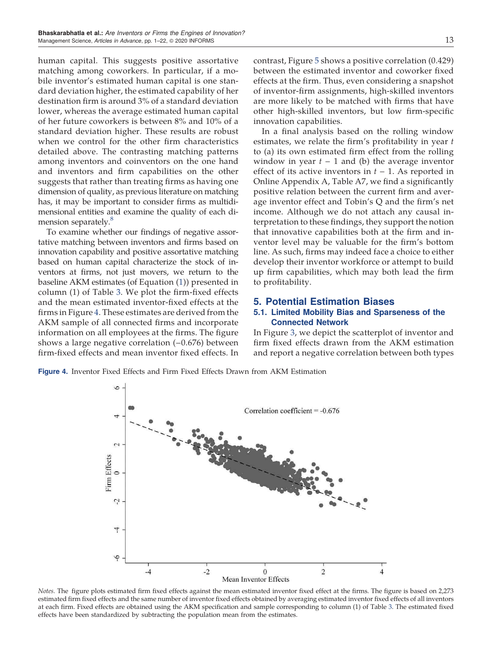human capital. This suggests positive assortative matching among coworkers. In particular, if a mobile inventor's estimated human capital is one standard deviation higher, the estimated capability of her destination firm is around 3% of a standard deviation lower, whereas the average estimated human capital of her future coworkers is between 8% and 10% of a standard deviation higher. These results are robust when we control for the other firm characteristics detailed above. The contrasting matching patterns among inventors and coinventors on the one hand and inventors and firm capabilities on the other suggests that rather than treating firms as having one dimension of quality, as previous literature on matching has, it may be important to consider firms as multidimensional entities and examine the quality of each dimension separately.<sup>8</sup>

To examine whether our findings of negative assortative matching between inventors and firms based on innovation capability and positive assortative matching based on human capital characterize the stock of inventors at firms, not just movers, we return to the baseline AKM estimates (of Equation (1)) presented in column (1) of Table 3. We plot the firm-fixed effects and the mean estimated inventor-fixed effects at the firms in Figure 4. These estimates are derived from the AKM sample of all connected firms and incorporate information on all employees at the firms. The figure shows a large negative correlation (−0.676) between firm-fixed effects and mean inventor fixed effects. In

contrast, Figure 5 shows a positive correlation (0.429) between the estimated inventor and coworker fixed effects at the firm. Thus, even considering a snapshot of inventor-firm assignments, high-skilled inventors are more likely to be matched with firms that have other high-skilled inventors, but low firm-specific innovation capabilities.

In a final analysis based on the rolling window estimates, we relate the firm's profitability in year *t* to (a) its own estimated firm effect from the rolling window in year *t* − 1 and (b) the average inventor effect of its active inventors in *t* − 1. As reported in Online Appendix A, Table A7, we find a significantly positive relation between the current firm and average inventor effect and Tobin's Q and the firm's net income. Although we do not attach any causal interpretation to these findings, they support the notion that innovative capabilities both at the firm and inventor level may be valuable for the firm's bottom line. As such, firms may indeed face a choice to either develop their inventor workforce or attempt to build up firm capabilities, which may both lead the firm to profitability.

# 5. Potential Estimation Biases

# 5.1. Limited Mobility Bias and Sparseness of the Connected Network

In Figure 3, we depict the scatterplot of inventor and firm fixed effects drawn from the AKM estimation and report a negative correlation between both types

Figure 4. Inventor Fixed Effects and Firm Fixed Effects Drawn from AKM Estimation



*Notes.* The figure plots estimated firm fixed effects against the mean estimated inventor fixed effect at the firms. The figure is based on 2,273 estimated firm fixed effects and the same number of inventor fixed effects obtained by averaging estimated inventor fixed effects of all inventors at each firm. Fixed effects are obtained using the AKM specification and sample corresponding to column (1) of Table 3. The estimated fixed effects have been standardized by subtracting the population mean from the estimates.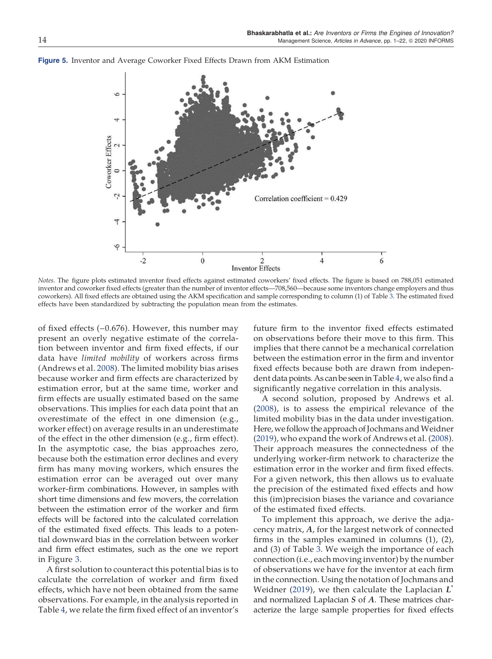

Figure 5. Inventor and Average Coworker Fixed Effects Drawn from AKM Estimation

*Notes.* The figure plots estimated inventor fixed effects against estimated coworkers' fixed effects. The figure is based on 788,051 estimated inventor and coworker fixed effects (greater than the number of inventor effects—708,560—because some inventors change employers and thus coworkers). All fixed effects are obtained using the AKM specification and sample corresponding to column (1) of Table 3. The estimated fixed effects have been standardized by subtracting the population mean from the estimates.

of fixed effects (−0.676). However, this number may present an overly negative estimate of the correlation between inventor and firm fixed effects, if our data have *limited mobility* of workers across firms (Andrews et al. 2008). The limited mobility bias arises because worker and firm effects are characterized by estimation error, but at the same time, worker and firm effects are usually estimated based on the same observations. This implies for each data point that an overestimate of the effect in one dimension (e.g., worker effect) on average results in an underestimate of the effect in the other dimension (e.g., firm effect). In the asymptotic case, the bias approaches zero, because both the estimation error declines and every firm has many moving workers, which ensures the estimation error can be averaged out over many worker-firm combinations. However, in samples with short time dimensions and few movers, the correlation between the estimation error of the worker and firm effects will be factored into the calculated correlation of the estimated fixed effects. This leads to a potential downward bias in the correlation between worker and firm effect estimates, such as the one we report in Figure 3.

A first solution to counteract this potential bias is to calculate the correlation of worker and firm fixed effects, which have not been obtained from the same observations. For example, in the analysis reported in Table 4, we relate the firm fixed effect of an inventor's

future firm to the inventor fixed effects estimated on observations before their move to this firm. This implies that there cannot be a mechanical correlation between the estimation error in the firm and inventor fixed effects because both are drawn from independent data points. As can be seen in Table 4, we also find a significantly negative correlation in this analysis.

A second solution, proposed by Andrews et al. (2008), is to assess the empirical relevance of the limited mobility bias in the data under investigation. Here, we follow the approach of Jochmans and Weidner (2019), who expand the work of Andrews et al. (2008). Their approach measures the connectedness of the underlying worker-firm network to characterize the estimation error in the worker and firm fixed effects. For a given network, this then allows us to evaluate the precision of the estimated fixed effects and how this (im)precision biases the variance and covariance of the estimated fixed effects.

To implement this approach, we derive the adjacency matrix, A, for the largest network of connected firms in the samples examined in columns (1), (2), and (3) of Table 3. We weigh the importance of each connection (i.e., each moving inventor) by the number of observations we have for the inventor at each firm in the connection. Using the notation of Jochmans and Weidner (2019), we then calculate the Laplacian  $L^*$ and normalized Laplacian  $S$  of  $A$ . These matrices characterize the large sample properties for fixed effects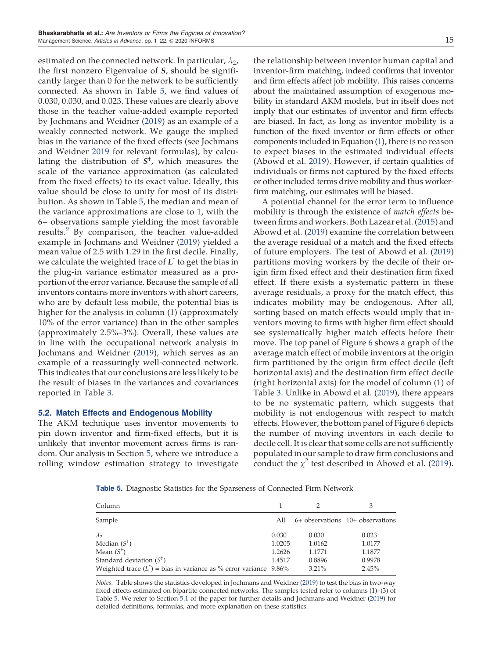estimated on the connected network. In particular,  $\lambda_2$ , the first nonzero Eigenvalue of S, should be significantly larger than 0 for the network to be sufficiently connected. As shown in Table 5, we find values of 0.030, 0.030, and 0.023. These values are clearly above those in the teacher value-added example reported by Jochmans and Weidner (2019) as an example of a weakly connected network. We gauge the implied bias in the variance of the fixed effects (see Jochmans and Weidner 2019 for relevant formulas), by calculating the distribution of  $S^{\dagger}$ , which measures the scale of the variance approximation (as calculated from the fixed effects) to its exact value. Ideally, this value should be close to unity for most of its distribution. As shown in Table 5, the median and mean of the variance approximations are close to 1, with the 6+ observations sample yielding the most favorable results.<sup>9</sup> By comparison, the teacher value-added example in Jochmans and Weidner (2019) yielded a mean value of 2.5 with 1.29 in the first decile. Finally, we calculate the weighted trace of  $L^*$  to get the bias in the plug-in variance estimator measured as a proportion of the error variance. Because the sample of all inventors contains more inventors with short careers, who are by default less mobile, the potential bias is higher for the analysis in column (1) (approximately 10% of the error variance) than in the other samples (approximately 2.5%–3%). Overall, these values are in line with the occupational network analysis in Jochmans and Weidner (2019), which serves as an example of a reassuringly well-connected network. This indicates that our conclusions are less likely to be the result of biases in the variances and covariances reported in Table 3.

# 5.2. Match Effects and Endogenous Mobility

The AKM technique uses inventor movements to pin down inventor and firm-fixed effects, but it is unlikely that inventor movement across firms is random. Our analysis in Section 5, where we introduce a rolling window estimation strategy to investigate

the relationship between inventor human capital and inventor-firm matching, indeed confirms that inventor and firm effects affect job mobility. This raises concerns about the maintained assumption of exogenous mobility in standard AKM models, but in itself does not imply that our estimates of inventor and firm effects are biased. In fact, as long as inventor mobility is a function of the fixed inventor or firm effects or other components included in Equation (1), there is no reason to expect biases in the estimated individual effects (Abowd et al. 2019). However, if certain qualities of individuals or firms not captured by the fixed effects or other included terms drive mobility and thus workerfirm matching, our estimates will be biased.

A potential channel for the error term to influence mobility is through the existence of *match effects* between firms and workers. Both Lazear et al. (2015) and Abowd et al. (2019) examine the correlation between the average residual of a match and the fixed effects of future employers. The test of Abowd et al. (2019) partitions moving workers by the decile of their origin firm fixed effect and their destination firm fixed effect. If there exists a systematic pattern in these average residuals, a proxy for the match effect, this indicates mobility may be endogenous. After all, sorting based on match effects would imply that inventors moving to firms with higher firm effect should see systematically higher match effects before their move. The top panel of Figure 6 shows a graph of the average match effect of mobile inventors at the origin firm partitioned by the origin firm effect decile (left horizontal axis) and the destination firm effect decile (right horizontal axis) for the model of column (1) of Table 3. Unlike in Abowd et al. (2019), there appears to be no systematic pattern, which suggests that mobility is not endogenous with respect to match effects. However, the bottom panel of Figure 6 depicts the number of moving inventors in each decile to decile cell. It is clear that some cells are not sufficiently populated in our sample to draw firm conclusions and conduct the  $\chi^2$  test described in Abowd et al. (2019).

Table 5. Diagnostic Statistics for the Sparseness of Connected Firm Network

| Column                                                              |        |          |                                      |
|---------------------------------------------------------------------|--------|----------|--------------------------------------|
| Sample                                                              | All    |          | $6+$ observations $10+$ observations |
| $\lambda$                                                           | 0.030  | 0.030    | 0.023                                |
| Median $(S^{\dagger})$                                              | 1.0205 | 1.0162   | 1.0177                               |
| Mean $(S^{\dagger})$                                                | 1.2626 | 1.1771   | 1.1877                               |
| Standard deviation $(S^{\dagger})$                                  | 1.4517 | 0.8896   | 0.9978                               |
| Weighted trace $(L^*)$ = bias in variance as % error variance 9.86% |        | $3.21\%$ | 2.45%                                |

*Notes.* Table shows the statistics developed in Jochmans and Weidner (2019) to test the bias in two-way fixed effects estimated on bipartite connected networks. The samples tested refer to columns (1)–(3) of Table 5. We refer to Section 5.1 of the paper for further details and Jochmans and Weidner (2019) for detailed definitions, formulas, and more explanation on these statistics.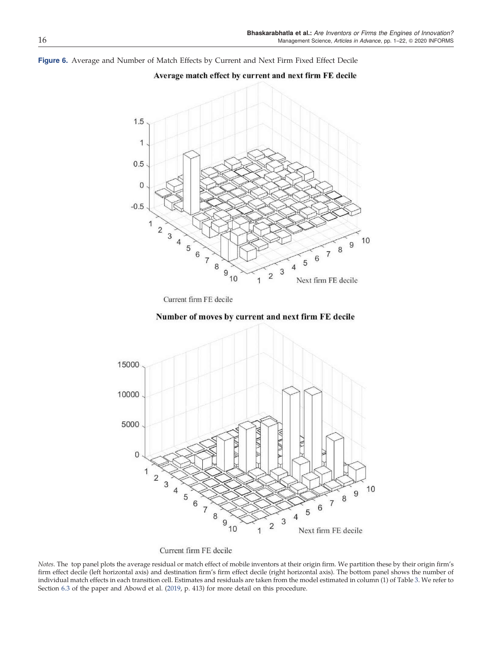# Figure 6. Average and Number of Match Effects by Current and Next Firm Fixed Effect Decile



Average match effect by current and next firm FE decile



Current firm FE decile

*Notes.* The top panel plots the average residual or match effect of mobile inventors at their origin firm. We partition these by their origin firm's firm effect decile (left horizontal axis) and destination firm's firm effect decile (right horizontal axis). The bottom panel shows the number of individual match effects in each transition cell. Estimates and residuals are taken from the model estimated in column (1) of Table 3. We refer to Section 6.3 of the paper and Abowd et al. (2019, p. 413) for more detail on this procedure.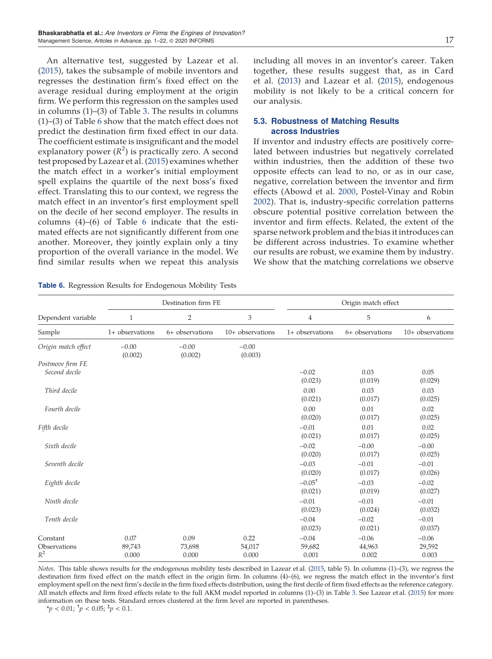An alternative test, suggested by Lazear et al. (2015), takes the subsample of mobile inventors and regresses the destination firm's fixed effect on the average residual during employment at the origin firm. We perform this regression on the samples used in columns (1)–(3) of Table 3. The results in columns (1)–(3) of Table 6 show that the match effect does not predict the destination firm fixed effect in our data. The coefficient estimate is insignificant and the model explanatory power ( $R^2$ ) is practically zero. A second test proposed by Lazear et al. (2015) examines whether the match effect in a worker's initial employment spell explains the quartile of the next boss's fixed effect. Translating this to our context, we regress the match effect in an inventor's first employment spell on the decile of her second employer. The results in columns (4)–(6) of Table 6 indicate that the estimated effects are not significantly different from one another. Moreover, they jointly explain only a tiny proportion of the overall variance in the model. We find similar results when we repeat this analysis including all moves in an inventor's career. Taken together, these results suggest that, as in Card et al. (2013) and Lazear et al. (2015), endogenous mobility is not likely to be a critical concern for our analysis.

# 5.3. Robustness of Matching Results across Industries

If inventor and industry effects are positively correlated between industries but negatively correlated within industries, then the addition of these two opposite effects can lead to no, or as in our case, negative, correlation between the inventor and firm effects (Abowd et al. 2000, Postel-Vinay and Robin 2002). That is, industry-specific correlation patterns obscure potential positive correlation between the inventor and firm effects. Related, the extent of the sparse network problem and the bias it introduces can be different across industries. To examine whether our results are robust, we examine them by industry. We show that the matching correlations we observe

Table 6. Regression Results for Endogenous Mobility Tests

|                                   |                         | Destination firm FE     |                         | Origin match effect        |                            |                            |  |  |
|-----------------------------------|-------------------------|-------------------------|-------------------------|----------------------------|----------------------------|----------------------------|--|--|
| Dependent variable                | $\mathbf{1}$            | $\overline{2}$          | 3                       | $\overline{4}$             | 5                          | 6                          |  |  |
| Sample                            | 1+ observations         | 6+ observations         | $10+$ observations      | 1+ observations            | 6+ observations            | $10+$ observations         |  |  |
| Origin match effect               | $-0.00$<br>(0.002)      | $-0.00$<br>(0.002)      | $-0.00$<br>(0.003)      |                            |                            |                            |  |  |
| Postmove firm FE<br>Second decile |                         |                         |                         | $-0.02$<br>(0.023)         | 0.03<br>(0.019)            | 0.05<br>(0.029)            |  |  |
| Third decile                      |                         |                         |                         | 0.00<br>(0.021)            | 0.03<br>(0.017)            | 0.03<br>(0.025)            |  |  |
| Fourth decile                     |                         |                         |                         | 0.00<br>(0.020)            | 0.01<br>(0.017)            | 0.02<br>(0.025)            |  |  |
| Fifth decile                      |                         |                         |                         | $-0.01$<br>(0.021)         | 0.01<br>(0.017)            | 0.02<br>(0.025)            |  |  |
| Sixth decile                      |                         |                         |                         | $-0.02$<br>(0.020)         | $-0.00$<br>(0.017)         | $-0.00$<br>(0.025)         |  |  |
| Seventh decile                    |                         |                         |                         | $-0.03$<br>(0.020)         | $-0.01$<br>(0.017)         | $-0.01$<br>(0.026)         |  |  |
| Eighth decile                     |                         |                         |                         | $-0.05^+$<br>(0.021)       | $-0.03$<br>(0.019)         | $-0.02$<br>(0.027)         |  |  |
| Ninth decile                      |                         |                         |                         | $-0.01$<br>(0.023)         | $-0.01$<br>(0.024)         | $-0.01$<br>(0.032)         |  |  |
| Tenth decile                      |                         |                         |                         | $-0.04$<br>(0.023)         | $-0.02$<br>(0.021)         | $-0.01$<br>(0.037)         |  |  |
| Constant<br>Observations<br>$R^2$ | 0.07<br>89,743<br>0.000 | 0.09<br>73,698<br>0.000 | 0.22<br>54,017<br>0.000 | $-0.04$<br>59,682<br>0.001 | $-0.06$<br>44,963<br>0.002 | $-0.06$<br>29,592<br>0.003 |  |  |

*Notes.* This table shows results for the endogenous mobility tests described in Lazear et al. (2015, table 5). In columns (1)–(3), we regress the destination firm fixed effect on the match effect in the origin firm. In columns (4)–(6), we regress the match effect in the inventor's first employment spell on the next firm's decile in the firm fixed effects distribution, using the first decile of firm fixed effects as the reference category. All match effects and firm fixed effects relate to the full AKM model reported in columns (1)–(3) in Table 3. See Lazear et al. (2015) for more information on these tests. Standard errors clustered at the firm level are reported in parentheses.

 $* p < 0.01; \, {}^{\dagger} p < 0.05; \, {}^{\dagger} p < 0.1.$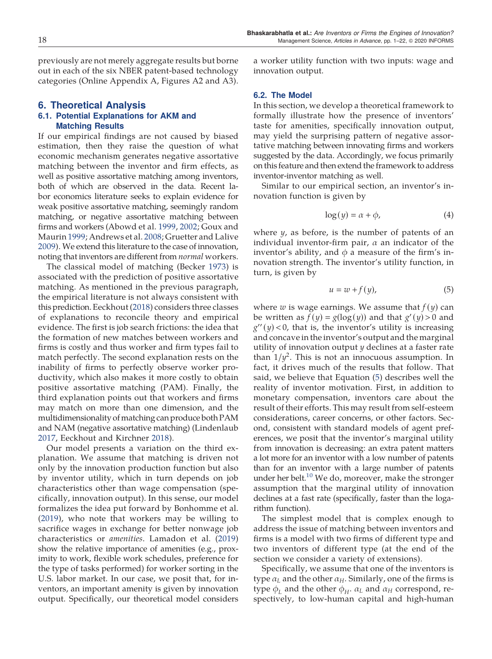previously are not merely aggregate results but borne out in each of the six NBER patent-based technology categories (Online Appendix A, Figures A2 and A3).

# 6. Theoretical Analysis 6.1. Potential Explanations for AKM and Matching Results

If our empirical findings are not caused by biased estimation, then they raise the question of what economic mechanism generates negative assortative matching between the inventor and firm effects, as well as positive assortative matching among inventors, both of which are observed in the data. Recent labor economics literature seeks to explain evidence for weak positive assortative matching, seemingly random matching, or negative assortative matching between firms and workers (Abowd et al. 1999, 2002; Goux and Maurin 1999; Andrews et al. 2008; Gruetter and Lalive 2009). We extend this literature to the case of innovation, noting that inventors are different from *normal* workers.

The classical model of matching (Becker 1973) is associated with the prediction of positive assortative matching. As mentioned in the previous paragraph, the empirical literature is not always consistent with this prediction. Eeckhout (2018) considers three classes of explanations to reconcile theory and empirical evidence. The first is job search frictions: the idea that the formation of new matches between workers and firms is costly and thus worker and firm types fail to match perfectly. The second explanation rests on the inability of firms to perfectly observe worker productivity, which also makes it more costly to obtain positive assortative matching (PAM). Finally, the third explanation points out that workers and firms may match on more than one dimension, and the multidimensionality of matching can produce both PAM and NAM (negative assortative matching) (Lindenlaub 2017, Eeckhout and Kirchner 2018).

Our model presents a variation on the third explanation. We assume that matching is driven not only by the innovation production function but also by inventor utility, which in turn depends on job characteristics other than wage compensation (specifically, innovation output). In this sense, our model formalizes the idea put forward by Bonhomme et al. (2019), who note that workers may be willing to sacrifice wages in exchange for better nonwage job characteristics or *amenities*. Lamadon et al. (2019) show the relative importance of amenities (e.g., proximity to work, flexible work schedules, preference for the type of tasks performed) for worker sorting in the U.S. labor market. In our case, we posit that, for inventors, an important amenity is given by innovation output. Specifically, our theoretical model considers a worker utility function with two inputs: wage and innovation output.

# 6.2. The Model

In this section, we develop a theoretical framework to formally illustrate how the presence of inventors' taste for amenities, specifically innovation output, may yield the surprising pattern of negative assortative matching between innovating firms and workers suggested by the data. Accordingly, we focus primarily on this feature and then extend the framework to address inventor-inventor matching as well.

Similar to our empirical section, an inventor's innovation function is given by

$$
\log(y) = \alpha + \phi,\tag{4}
$$

where *y*, as before, is the number of patents of an individual inventor-firm pair,  $\alpha$  an indicator of the inventor's ability, and  $\phi$  a measure of the firm's innovation strength. The inventor's utility function, in turn, is given by

$$
u = w + f(y), \tag{5}
$$

where *w* is wage earnings. We assume that  $f(y)$  can be written as  $f(y) = g(\log(y))$  and that  $g'(y) > 0$  and  $g''(y)$  < 0, that is, the inventor's utility is increasing and concave in the inventor's output and the marginal utility of innovation output *y* declines at a faster rate than  $1/y^2$ . This is not an innocuous assumption. In fact, it drives much of the results that follow. That said, we believe that Equation (5) describes well the reality of inventor motivation. First, in addition to monetary compensation, inventors care about the result of their efforts. This may result from self-esteem considerations, career concerns, or other factors. Second, consistent with standard models of agent preferences, we posit that the inventor's marginal utility from innovation is decreasing: an extra patent matters a lot more for an inventor with a low number of patents than for an inventor with a large number of patents under her belt.<sup>10</sup> We do, moreover, make the stronger assumption that the marginal utility of innovation declines at a fast rate (specifically, faster than the logarithm function).

The simplest model that is complex enough to address the issue of matching between inventors and firms is a model with two firms of different type and two inventors of different type (at the end of the section we consider a variety of extensions).

Specifically, we assume that one of the inventors is type  $\alpha_L$  and the other  $\alpha_H$ . Similarly, one of the firms is type  $\phi_L$  and the other  $\phi_H$ .  $\alpha_L$  and  $\alpha_H$  correspond, respectively, to low-human capital and high-human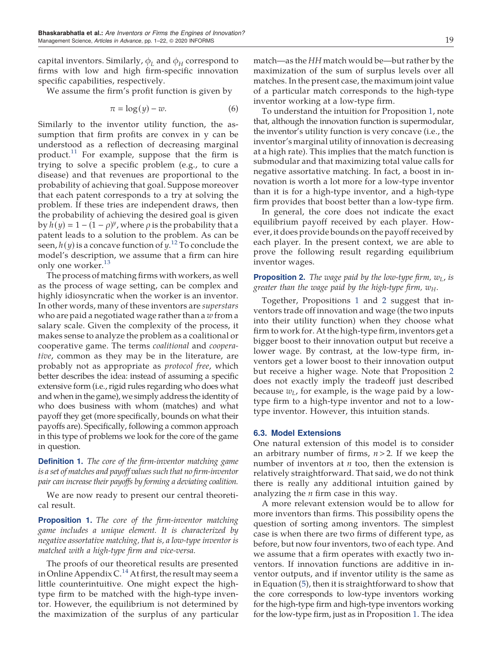capital inventors. Similarly,  $\phi_L$  and  $\phi_H$  correspond to firms with low and high firm-specific innovation specific capabilities, respectively.

We assume the firm's profit function is given by

$$
\pi = \log(y) - w.\tag{6}
$$

Similarly to the inventor utility function, the assumption that firm profits are convex in y can be understood as a reflection of decreasing marginal product. $11$  For example, suppose that the firm is trying to solve a specific problem (e.g., to cure a disease) and that revenues are proportional to the probability of achieving that goal. Suppose moreover that each patent corresponds to a try at solving the problem. If these tries are independent draws, then the probability of achieving the desired goal is given by  $h(y) = 1 - (1 - \rho)^y$ , where  $\rho$  is the probability that a patent leads to a solution to the problem. As can be seen, *h*(*y*) is a concave function of *y*. <sup>12</sup> To conclude the model's description, we assume that a firm can hire only one worker.<sup>13</sup>

The process of matching firms with workers, as well as the process of wage setting, can be complex and highly idiosyncratic when the worker is an inventor. In other words, many of these inventors are *superstars* who are paid a negotiated wage rather than a *w* from a salary scale. Given the complexity of the process, it makes sense to analyze the problem as a coalitional or cooperative game. The terms *coalitional* and *cooperative*, common as they may be in the literature, are probably not as appropriate as *protocol free*, which better describes the idea: instead of assuming a specific extensive form (i.e., rigid rules regarding who does what and when in the game), we simply address the identity of who does business with whom (matches) and what payoff they get (more specifically, bounds on what their payoffs are). Specifically, following a common approach in this type of problems we look for the core of the game in question.

Definition 1. *The core of the* fi*rm-inventor matching game is a set of matches and payoff values such that no* fi*rm-inventor pair can increase their payoffs by forming a deviating coalition.*

We are now ready to present our central theoretical result.

Proposition 1. *The core of the* fi*rm-inventor matching game includes a unique element. It is characterized by negative assortative matching, that is, a low-type inventor is matched with a high-type* fi*rm and vice-versa.*

The proofs of our theoretical results are presented in Online Appendix C.<sup>14</sup> At first, the result may seem a little counterintuitive. One might expect the hightype firm to be matched with the high-type inventor. However, the equilibrium is not determined by the maximization of the surplus of any particular

match—as the *HH* match would be—but rather by the maximization of the sum of surplus levels over all matches. In the present case, the maximum joint value of a particular match corresponds to the high-type inventor working at a low-type firm.

To understand the intuition for Proposition 1, note that, although the innovation function is supermodular, the inventor's utility function is very concave (i.e., the inventor's marginal utility of innovation is decreasing at a high rate). This implies that the match function is submodular and that maximizing total value calls for negative assortative matching. In fact, a boost in innovation is worth a lot more for a low-type inventor than it is for a high-type inventor, and a high-type firm provides that boost better than a low-type firm.

In general, the core does not indicate the exact equilibrium payoff received by each player. However, it does provide bounds on the payoff received by each player. In the present context, we are able to prove the following result regarding equilibrium inventor wages.

# Proposition 2. *The wage paid by the low-type* fi*rm, wL*, *is greater than the wage paid by the high-type* fi*rm, wH*.

Together, Propositions 1 and 2 suggest that inventors trade off innovation and wage (the two inputs into their utility function) when they choose what firm to work for. At the high-type firm, inventors get a bigger boost to their innovation output but receive a lower wage. By contrast, at the low-type firm, inventors get a lower boost to their innovation output but receive a higher wage. Note that Proposition 2 does not exactly imply the tradeoff just described because *wL*, for example, is the wage paid by a lowtype firm to a high-type inventor and not to a lowtype inventor. However, this intuition stands.

### 6.3. Model Extensions

One natural extension of this model is to consider an arbitrary number of firms, *n*> 2. If we keep the number of inventors at *n* too, then the extension is relatively straightforward. That said, we do not think there is really any additional intuition gained by analyzing the *n* firm case in this way.

A more relevant extension would be to allow for more inventors than firms. This possibility opens the question of sorting among inventors. The simplest case is when there are two firms of different type, as before, but now four inventors, two of each type. And we assume that a firm operates with exactly two inventors. If innovation functions are additive in inventor outputs, and if inventor utility is the same as in Equation (5), then it is straightforward to show that the core corresponds to low-type inventors working for the high-type firm and high-type inventors working for the low-type firm, just as in Proposition 1. The idea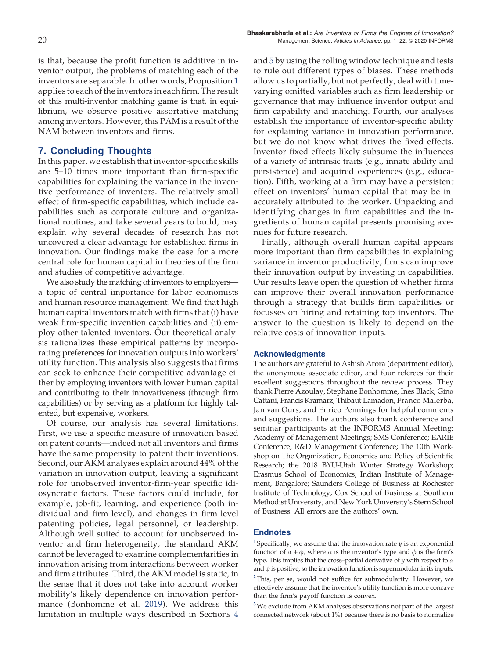is that, because the profit function is additive in inventor output, the problems of matching each of the inventors are separable. In other words, Proposition 1 applies to each of the inventors in each firm. The result of this multi-inventor matching game is that, in equilibrium, we observe positive assortative matching among inventors. However, this PAM is a result of the NAM between inventors and firms.

# 7. Concluding Thoughts

In this paper, we establish that inventor-specific skills are 5–10 times more important than firm-specific capabilities for explaining the variance in the inventive performance of inventors. The relatively small effect of firm-specific capabilities, which include capabilities such as corporate culture and organizational routines, and take several years to build, may explain why several decades of research has not uncovered a clear advantage for established firms in innovation. Our findings make the case for a more central role for human capital in theories of the firm and studies of competitive advantage.

We also study the matching of inventors to employers a topic of central importance for labor economists and human resource management. We find that high human capital inventors match with firms that (i) have weak firm-specific invention capabilities and (ii) employ other talented inventors. Our theoretical analysis rationalizes these empirical patterns by incorporating preferences for innovation outputs into workers' utility function. This analysis also suggests that firms can seek to enhance their competitive advantage either by employing inventors with lower human capital and contributing to their innovativeness (through firm capabilities) or by serving as a platform for highly talented, but expensive, workers.

Of course, our analysis has several limitations. First, we use a specific measure of innovation based on patent counts—indeed not all inventors and firms have the same propensity to patent their inventions. Second, our AKM analyses explain around 44% of the variation in innovation output, leaving a significant role for unobserved inventor-firm-year specific idiosyncratic factors. These factors could include, for example, job-fit, learning, and experience (both individual and firm-level), and changes in firm-level patenting policies, legal personnel, or leadership. Although well suited to account for unobserved inventor and firm heterogeneity, the standard AKM cannot be leveraged to examine complementarities in innovation arising from interactions between worker and firm attributes. Third, the AKM model is static, in the sense that it does not take into account worker mobility's likely dependence on innovation performance (Bonhomme et al. 2019). We address this limitation in multiple ways described in Sections 4

and 5 by using the rolling window technique and tests to rule out different types of biases. These methods allow us to partially, but not perfectly, deal with timevarying omitted variables such as firm leadership or governance that may influence inventor output and firm capability and matching. Fourth, our analyses establish the importance of inventor-specific ability for explaining variance in innovation performance, but we do not know what drives the fixed effects. Inventor fixed effects likely subsume the influences of a variety of intrinsic traits (e.g., innate ability and persistence) and acquired experiences (e.g., education). Fifth, working at a firm may have a persistent effect on inventors' human capital that may be inaccurately attributed to the worker. Unpacking and identifying changes in firm capabilities and the ingredients of human capital presents promising avenues for future research.

Finally, although overall human capital appears more important than firm capabilities in explaining variance in inventor productivity, firms can improve their innovation output by investing in capabilities. Our results leave open the question of whether firms can improve their overall innovation performance through a strategy that builds firm capabilities or focusses on hiring and retaining top inventors. The answer to the question is likely to depend on the relative costs of innovation inputs.

# Acknowledgments

The authors are grateful to Ashish Arora (department editor), the anonymous associate editor, and four referees for their excellent suggestions throughout the review process. They thank Pierre Azoulay, Stephane Bonhomme, Ines Black, Gino Cattani, Francis Kramarz, Thibaut Lamadon, Franco Malerba, Jan van Ours, and Enrico Pennings for helpful comments and suggestions. The authors also thank conference and seminar participants at the INFORMS Annual Meeting; Academy of Management Meetings; SMS Conference; EARIE Conference; R&D Management Conference; The 10th Workshop on The Organization, Economics and Policy of Scientific Research; the 2018 BYU-Utah Winter Strategy Workshop; Erasmus School of Economics; Indian Institute of Management, Bangalore; Saunders College of Business at Rochester Institute of Technology; Cox School of Business at Southern Methodist University; and New York University's Stern School of Business. All errors are the authors' own.

# **Endnotes**

1 Specifically, we assume that the innovation rate *y* is an exponential function of  $\alpha + \phi$ , where  $\alpha$  is the inventor's type and  $\phi$  is the firm's type. This implies that the cross–partial derivative of *y* with respect to α and  $\phi$  is positive, so the innovation function is supermodular in its inputs.

<sup>2</sup>This, per se, would not suffice for submodularity. However, we effectively assume that the inventor's utility function is more concave than the firm's payoff function is convex.

<sup>3</sup>We exclude from AKM analyses observations not part of the largest connected network (about 1%) because there is no basis to normalize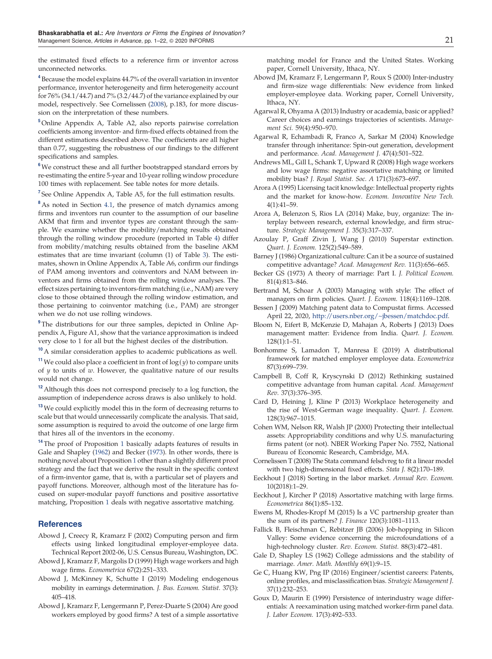the estimated fixed effects to a reference firm or inventor across unconnected networks.

<sup>4</sup> Because the model explains 44.7% of the overall variation in inventor performance, inventor heterogeneity and firm heterogeneity account for 76% (34.1/44.7) and 7% (3.2/44.7) of the variance explained by our model, respectively. See Cornelissen (2008), p.183, for more discussion on the interpretation of these numbers.

<sup>5</sup> Online Appendix A, Table A2, also reports pairwise correlation coefficients among inventor- and firm-fixed effects obtained from the different estimations described above. The coefficients are all higher than 0.77, suggesting the robustness of our findings to the different specifications and samples.

<sup>6</sup>We construct these and all further bootstrapped standard errors by re-estimating the entire 5-year and 10-year rolling window procedure 100 times with replacement. See table notes for more details.

<sup>7</sup> See Online Appendix A, Table A5, for the full estimation results.

<sup>8</sup> As noted in Section 4.1, the presence of match dynamics among firms and inventors run counter to the assumption of our baseline AKM that firm and inventor types are constant through the sample. We examine whether the mobility/matching results obtained through the rolling window procedure (reported in Table 4) differ from mobility/matching results obtained from the baseline AKM estimates that are time invariant (column (1) of Table 3). The estimates, shown in Online Appendix A, Table A6, confirm our findings of PAM among inventors and coinventors and NAM between inventors and firms obtained from the rolling window analyses. The effect sizes pertaining to inventors-firm matching (i.e., NAM) are very close to those obtained through the rolling window estimation, and those pertaining to coinventor matching (i.e., PAM) are stronger when we do not use rolling windows.

<sup>9</sup>The distributions for our three samples, depicted in Online Appendix A, Figure A1, show that the variance approximation is indeed very close to 1 for all but the highest deciles of the distribution.

<sup>10</sup> A similar consideration applies to academic publications as well.

<sup>11</sup> We could also place a coefficient in front of  $log(y)$  to compare units of *y* to units of *w*. However, the qualitative nature of our results would not change.

<sup>12</sup> Although this does not correspond precisely to a log function, the assumption of independence across draws is also unlikely to hold.

<sup>13</sup>We could explicitly model this in the form of decreasing returns to scale but that would unnecessarily complicate the analysis. That said, some assumption is required to avoid the outcome of one large firm that hires all of the inventors in the economy.

<sup>14</sup> The proof of Proposition 1 basically adapts features of results in Gale and Shapley (1962) and Becker (1973). In other words, there is nothing novel about Proposition 1 other than a slightly different proof strategy and the fact that we derive the result in the specific context of a firm-inventor game, that is, with a particular set of players and payoff functions. Moreover, although most of the literature has focused on super-modular payoff functions and positive assortative matching, Proposition 1 deals with negative assortative matching.

#### **References**

- Abowd J, Creecy R, Kramarz F (2002) Computing person and firm effects using linked longitudinal employer-employee data. Technical Report 2002-06, U.S. Census Bureau, Washington, DC.
- Abowd J, Kramarz F, Margolis D (1999) High wage workers and high wage firms. *Econometrica* 67(2):251–333.
- Abowd J, McKinney K, Schutte I (2019) Modeling endogenous mobility in earnings determination. *J. Bus. Econom. Statist.* 37(3): 405–418.
- Abowd J, Kramarz F, Lengermann P, Perez-Duarte S (2004) Are good workers employed by good firms? A test of a simple assortative

matching model for France and the United States. Working paper, Cornell University, Ithaca, NY.

- Abowd JM, Kramarz F, Lengermann P, Roux S (2000) Inter-industry and firm-size wage differentials: New evidence from linked employer-employee data. Working paper, Cornell University, Ithaca, NY.
- Agarwal R, Ohyama A (2013) Industry or academia, basic or applied? Career choices and earnings trajectories of scientists. *Management Sci.* 59(4):950–970.
- Agarwal R, Echambadi R, Franco A, Sarkar M (2004) Knowledge transfer through inheritance: Spin-out generation, development and performance. *Acad. Management J.* 47(4):501–522.
- Andrews ML, Gill L, Schank T, Upward R (2008) High wage workers and low wage firms: negative assortative matching or limited mobility bias? *J. Royal Statist. Soc. A* 171(3):673–697.
- Arora A (1995) Licensing tacit knowledge: Intellectual property rights and the market for know-how. *Econom. Innovative New Tech.* 4(1):41–59.
- Arora A, Belenzon S, Rios LA (2014) Make, buy, organize: The interplay between research, external knowledge, and firm structure. *Strategic Management J.* 35(3):317–337.
- Azoulay P, Graff Zivin J, Wang J (2010) Superstar extinction. *Quart. J. Econom.* 125(2):549–589.
- Barney J (1986) Organizational culture: Can it be a source of sustained competitive advantage? *Acad. Management Rev.* 11(3):656–665.
- Becker GS (1973) A theory of marriage: Part I. *J. Political Econom.* 81(4):813–846.
- Bertrand M, Schoar A (2003) Managing with style: The effect of managers on firm policies. *Quart. J. Econom.* 118(4):1169–1208.
- Bessen J (2009) Matching patent data to Compustat firms. Accessed April 22, 2020, http://users.nber.org/~jbessen/matchdoc.pdf.
- Bloom N, Eifert B, McKenzie D, Mahajan A, Roberts J (2013) Does management matter: Evidence from India. *Quart. J. Econom.* 128(1):1–51.
- Bonhomme S, Lamadon T, Manresa E (2019) A distributional framework for matched employer employee data. *Econometrica* 87(3):699–739.
- Campbell B, Coff R, Kryscynski D (2012) Rethinking sustained competitive advantage from human capital. *Acad. Management Rev.* 37(3):376–395.
- Card D, Heining J, Kline P (2013) Workplace heterogeneity and the rise of West-German wage inequality. *Quart. J. Econom.* 128(3):967–1015.
- Cohen WM, Nelson RR, Walsh JP (2000) Protecting their intellectual assets: Appropriability conditions and why U.S. manufacturing firms patent (or not). NBER Working Paper No. 7552, National Bureau of Economic Research, Cambridge, MA.
- Cornelissen T (2008) The Stata command felsdvreg to fit a linear model with two high-dimensional fixed effects. *Stata J.* 8(2):170–189.
- Eeckhout J (2018) Sorting in the labor market. *Annual Rev. Econom.* 10(2018):1–29.
- Eeckhout J, Kircher P (2018) Assortative matching with large firms. *Econometrica* 86(1):85–132.
- Ewens M, Rhodes-Kropf M (2015) Is a VC partnership greater than the sum of its partners? *J. Finance* 120(3):1081–1113.
- Fallick B, Fleischman C, Rebitzer JB (2006) Job-hopping in Silicon Valley: Some evidence concerning the microfoundations of a high-technology cluster. *Rev. Econom. Statist.* 88(3):472–481.
- Gale D, Shapley LS (1962) College admissions and the stability of marriage. *Amer. Math. Monthly* 69(1):9–15.
- Ge C, Huang KW, Png IP (2016) Engineer/scientist careers: Patents, online profiles, and misclassification bias. *Strategic Management J.* 37(1):232–253.
- Goux D, Maurin E (1999) Persistence of interindustry wage differentials: A reexamination using matched worker-firm panel data. *J. Labor Econom.* 17(3):492–533.